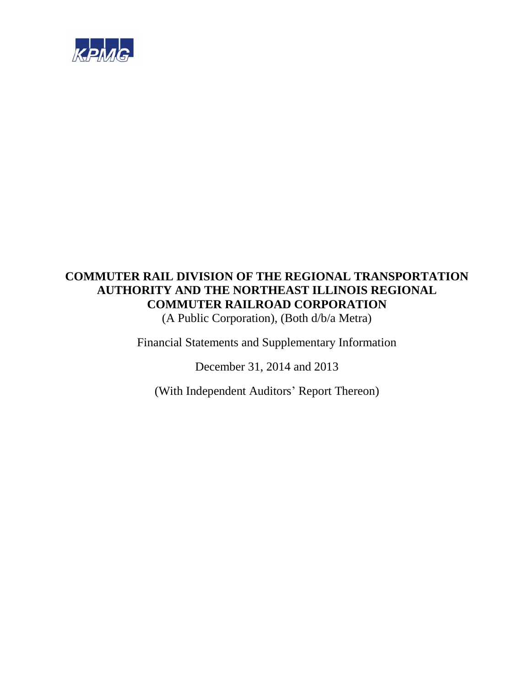

(A Public Corporation), (Both d/b/a Metra)

Financial Statements and Supplementary Information

December 31, 2014 and 2013

(With Independent Auditors' Report Thereon)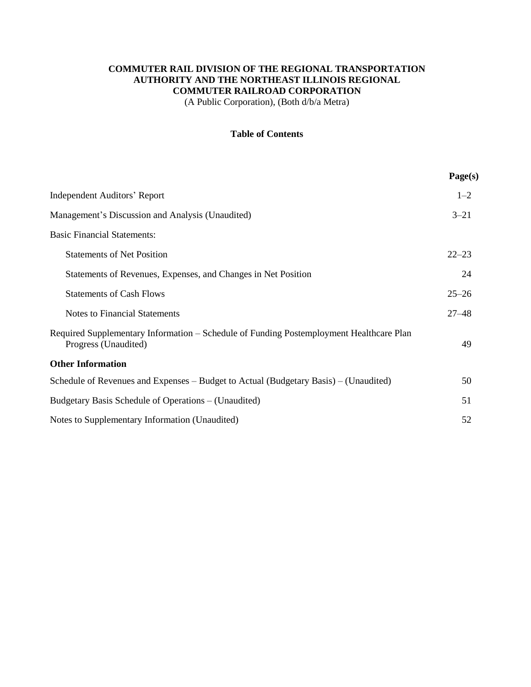(A Public Corporation), (Both d/b/a Metra)

## **Table of Contents**

|                                                                                                                 | Page(s)   |
|-----------------------------------------------------------------------------------------------------------------|-----------|
| <b>Independent Auditors' Report</b>                                                                             | $1 - 2$   |
| Management's Discussion and Analysis (Unaudited)                                                                | $3 - 21$  |
| <b>Basic Financial Statements:</b>                                                                              |           |
| <b>Statements of Net Position</b>                                                                               | $22 - 23$ |
| Statements of Revenues, Expenses, and Changes in Net Position                                                   | 24        |
| <b>Statements of Cash Flows</b>                                                                                 | $25 - 26$ |
| <b>Notes to Financial Statements</b>                                                                            | $27 - 48$ |
| Required Supplementary Information – Schedule of Funding Postemployment Healthcare Plan<br>Progress (Unaudited) | 49        |
| <b>Other Information</b>                                                                                        |           |
| Schedule of Revenues and Expenses - Budget to Actual (Budgetary Basis) - (Unaudited)                            | 50        |
| Budgetary Basis Schedule of Operations – (Unaudited)                                                            | 51        |
| Notes to Supplementary Information (Unaudited)                                                                  | 52        |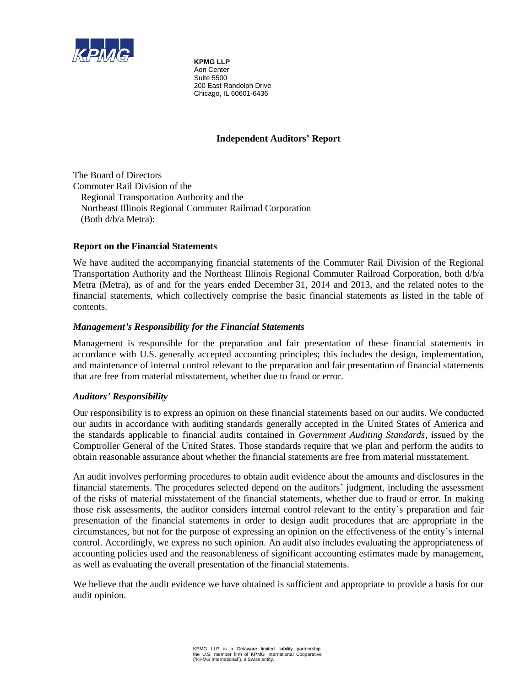

**KPMG LLP** Aon Center Suite 5500 200 East Randolph Drive Chicago, IL 60601-6436

## **Independent Auditors' Report**

The Board of Directors Commuter Rail Division of the Regional Transportation Authority and the Northeast Illinois Regional Commuter Railroad Corporation (Both d/b/a Metra):

## **Report on the Financial Statements**

We have audited the accompanying financial statements of the Commuter Rail Division of the Regional Transportation Authority and the Northeast Illinois Regional Commuter Railroad Corporation, both d/b/a Metra (Metra), as of and for the years ended December 31, 2014 and 2013, and the related notes to the financial statements, which collectively comprise the basic financial statements as listed in the table of contents.

## *Management's Responsibility for the Financial Statements*

Management is responsible for the preparation and fair presentation of these financial statements in accordance with U.S. generally accepted accounting principles; this includes the design, implementation, and maintenance of internal control relevant to the preparation and fair presentation of financial statements that are free from material misstatement, whether due to fraud or error.

## *Auditors' Responsibility*

Our responsibility is to express an opinion on these financial statements based on our audits. We conducted our audits in accordance with auditing standards generally accepted in the United States of America and the standards applicable to financial audits contained in *Government Auditing Standards*, issued by the Comptroller General of the United States. Those standards require that we plan and perform the audits to obtain reasonable assurance about whether the financial statements are free from material misstatement.

An audit involves performing procedures to obtain audit evidence about the amounts and disclosures in the financial statements. The procedures selected depend on the auditors' judgment, including the assessment of the risks of material misstatement of the financial statements, whether due to fraud or error. In making those risk assessments, the auditor considers internal control relevant to the entity's preparation and fair presentation of the financial statements in order to design audit procedures that are appropriate in the circumstances, but not for the purpose of expressing an opinion on the effectiveness of the entity's internal control. Accordingly, we express no such opinion. An audit also includes evaluating the appropriateness of accounting policies used and the reasonableness of significant accounting estimates made by management, as well as evaluating the overall presentation of the financial statements.

We believe that the audit evidence we have obtained is sufficient and appropriate to provide a basis for our audit opinion.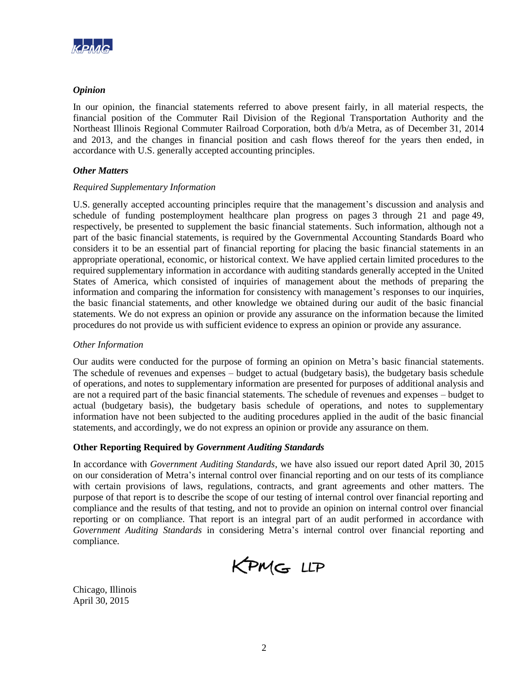

## *Opinion*

In our opinion, the financial statements referred to above present fairly, in all material respects, the financial position of the Commuter Rail Division of the Regional Transportation Authority and the Northeast Illinois Regional Commuter Railroad Corporation, both d/b/a Metra, as of December 31, 2014 and 2013, and the changes in financial position and cash flows thereof for the years then ended, in accordance with U.S. generally accepted accounting principles.

## *Other Matters*

## *Required Supplementary Information*

U.S. generally accepted accounting principles require that the management's discussion and analysis and schedule of funding postemployment healthcare plan progress on pages 3 through 21 and page 49, respectively, be presented to supplement the basic financial statements. Such information, although not a part of the basic financial statements, is required by the Governmental Accounting Standards Board who considers it to be an essential part of financial reporting for placing the basic financial statements in an appropriate operational, economic, or historical context. We have applied certain limited procedures to the required supplementary information in accordance with auditing standards generally accepted in the United States of America, which consisted of inquiries of management about the methods of preparing the information and comparing the information for consistency with management's responses to our inquiries, the basic financial statements, and other knowledge we obtained during our audit of the basic financial statements. We do not express an opinion or provide any assurance on the information because the limited procedures do not provide us with sufficient evidence to express an opinion or provide any assurance.

## *Other Information*

Our audits were conducted for the purpose of forming an opinion on Metra's basic financial statements. The schedule of revenues and expenses – budget to actual (budgetary basis), the budgetary basis schedule of operations, and notes to supplementary information are presented for purposes of additional analysis and are not a required part of the basic financial statements. The schedule of revenues and expenses – budget to actual (budgetary basis), the budgetary basis schedule of operations, and notes to supplementary information have not been subjected to the auditing procedures applied in the audit of the basic financial statements, and accordingly, we do not express an opinion or provide any assurance on them.

## **Other Reporting Required by** *Government Auditing Standards*

In accordance with *Government Auditing Standards*, we have also issued our report dated April 30, 2015 on our consideration of Metra's internal control over financial reporting and on our tests of its compliance with certain provisions of laws, regulations, contracts, and grant agreements and other matters. The purpose of that report is to describe the scope of our testing of internal control over financial reporting and compliance and the results of that testing, and not to provide an opinion on internal control over financial reporting or on compliance. That report is an integral part of an audit performed in accordance with *Government Auditing Standards* in considering Metra's internal control over financial reporting and compliance.

KPMG LLP

Chicago, Illinois April 30, 2015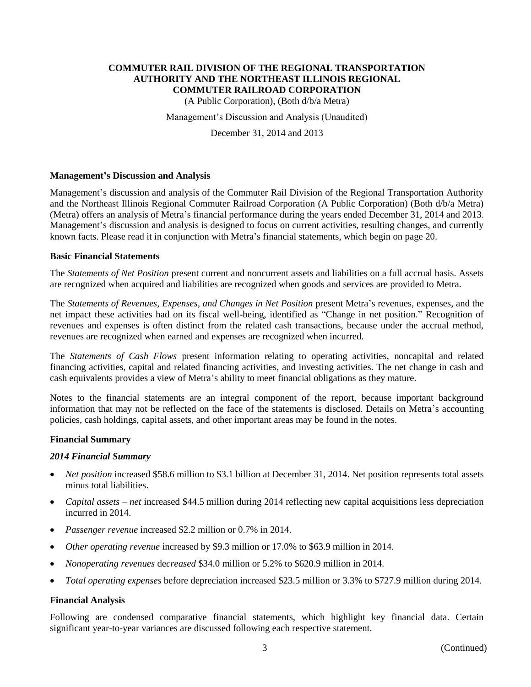(A Public Corporation), (Both d/b/a Metra)

Management's Discussion and Analysis (Unaudited)

December 31, 2014 and 2013

#### **Management's Discussion and Analysis**

Management's discussion and analysis of the Commuter Rail Division of the Regional Transportation Authority and the Northeast Illinois Regional Commuter Railroad Corporation (A Public Corporation) (Both d/b/a Metra) (Metra) offers an analysis of Metra's financial performance during the years ended December 31, 2014 and 2013. Management's discussion and analysis is designed to focus on current activities, resulting changes, and currently known facts. Please read it in conjunction with Metra's financial statements, which begin on page 20.

#### **Basic Financial Statements**

The *Statements of Net Position* present current and noncurrent assets and liabilities on a full accrual basis. Assets are recognized when acquired and liabilities are recognized when goods and services are provided to Metra.

The *Statements of Revenues, Expenses, and Changes in Net Position* present Metra's revenues, expenses, and the net impact these activities had on its fiscal well-being, identified as "Change in net position." Recognition of revenues and expenses is often distinct from the related cash transactions, because under the accrual method, revenues are recognized when earned and expenses are recognized when incurred.

The *Statements of Cash Flows* present information relating to operating activities, noncapital and related financing activities, capital and related financing activities, and investing activities. The net change in cash and cash equivalents provides a view of Metra's ability to meet financial obligations as they mature.

Notes to the financial statements are an integral component of the report, because important background information that may not be reflected on the face of the statements is disclosed. Details on Metra's accounting policies, cash holdings, capital assets, and other important areas may be found in the notes.

#### **Financial Summary**

#### *2014 Financial Summary*

- *Net position* increased \$58.6 million to \$3.1 billion at December 31, 2014. Net position represents total assets minus total liabilities.
- *Capital assets net* increased \$44.5 million during 2014 reflecting new capital acquisitions less depreciation incurred in 2014.
- *Passenger revenue* increased \$2.2 million or 0.7% in 2014.
- *Other operating revenue* increased by \$9.3 million or 17.0% to \$63.9 million in 2014.
- *Nonoperating revenues* de*creased* \$34.0 million or 5.2% to \$620.9 million in 2014.
- *Total operating expenses* before depreciation increased \$23.5 million or 3.3% to \$727.9 million during 2014.

#### **Financial Analysis**

Following are condensed comparative financial statements, which highlight key financial data. Certain significant year-to-year variances are discussed following each respective statement.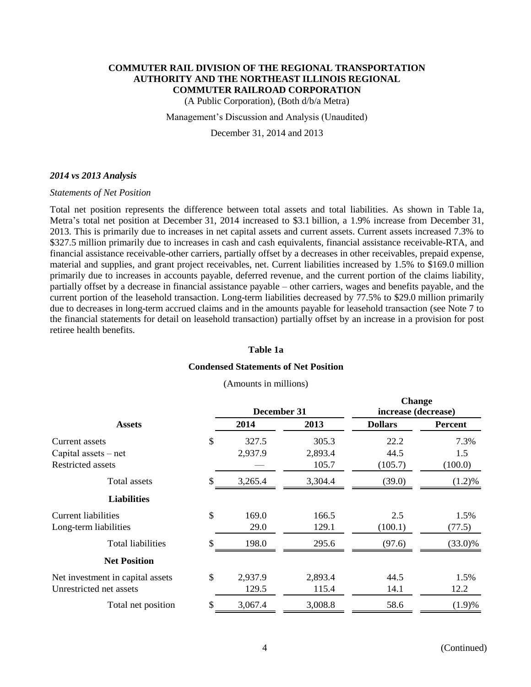(A Public Corporation), (Both d/b/a Metra)

Management's Discussion and Analysis (Unaudited)

December 31, 2014 and 2013

#### *2014 vs 2013 Analysis*

#### *Statements of Net Position*

Total net position represents the difference between total assets and total liabilities. As shown in Table 1a, Metra's total net position at December 31, 2014 increased to \$3.1 billion, a 1.9% increase from December 31, 2013. This is primarily due to increases in net capital assets and current assets. Current assets increased 7.3% to \$327.5 million primarily due to increases in cash and cash equivalents, financial assistance receivable-RTA, and financial assistance receivable-other carriers, partially offset by a decreases in other receivables, prepaid expense, material and supplies, and grant project receivables, net. Current liabilities increased by 1.5% to \$169.0 million primarily due to increases in accounts payable, deferred revenue, and the current portion of the claims liability, partially offset by a decrease in financial assistance payable – other carriers, wages and benefits payable, and the current portion of the leasehold transaction. Long-term liabilities decreased by 77.5% to \$29.0 million primarily due to decreases in long-term accrued claims and in the amounts payable for leasehold transaction (see Note 7 to the financial statements for detail on leasehold transaction) partially offset by an increase in a provision for post retiree health benefits.

#### **Table 1a**

#### **Condensed Statements of Net Position**

(Amounts in millions)

|                                  |     | December 31 |         | Change<br>increase (decrease) |                |  |
|----------------------------------|-----|-------------|---------|-------------------------------|----------------|--|
| <b>Assets</b>                    |     | 2014        | 2013    | <b>Dollars</b>                | <b>Percent</b> |  |
| Current assets                   | \$  | 327.5       | 305.3   | 22.2                          | 7.3%           |  |
| Capital assets $-$ net           |     | 2,937.9     | 2,893.4 | 44.5                          | 1.5            |  |
| Restricted assets                |     |             | 105.7   | (105.7)                       | (100.0)        |  |
| Total assets                     | \$  | 3,265.4     | 3,304.4 | (39.0)                        | $(1.2)\%$      |  |
| <b>Liabilities</b>               |     |             |         |                               |                |  |
| Current liabilities              | \$  | 169.0       | 166.5   | 2.5                           | 1.5%           |  |
| Long-term liabilities            |     | 29.0        | 129.1   | (100.1)                       | (77.5)         |  |
| <b>Total liabilities</b>         | \$. | 198.0       | 295.6   | (97.6)                        | $(33.0)\%$     |  |
| <b>Net Position</b>              |     |             |         |                               |                |  |
| Net investment in capital assets | \$  | 2,937.9     | 2,893.4 | 44.5                          | 1.5%           |  |
| Unrestricted net assets          |     | 129.5       | 115.4   | 14.1                          | 12.2           |  |
| Total net position               | \$  | 3,067.4     | 3,008.8 | 58.6                          | (1.9)%         |  |
|                                  |     |             |         |                               |                |  |

**Change**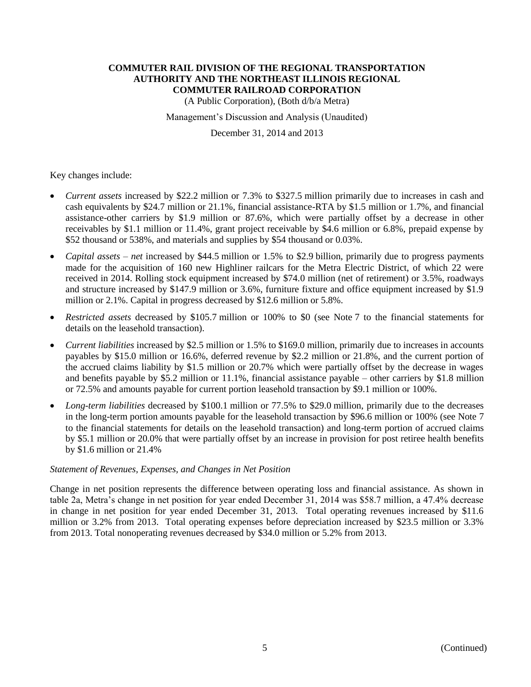(A Public Corporation), (Both d/b/a Metra)

Management's Discussion and Analysis (Unaudited)

December 31, 2014 and 2013

Key changes include:

- *Current assets* increased by \$22.2 million or 7.3% to \$327.5 million primarily due to increases in cash and cash equivalents by \$24.7 million or 21.1%, financial assistance-RTA by \$1.5 million or 1.7%, and financial assistance-other carriers by \$1.9 million or 87.6%, which were partially offset by a decrease in other receivables by \$1.1 million or 11.4%, grant project receivable by \$4.6 million or 6.8%, prepaid expense by \$52 thousand or 538%, and materials and supplies by \$54 thousand or 0.03%.
- *Capital assets net* increased by \$44.5 million or 1.5% to \$2.9 billion, primarily due to progress payments made for the acquisition of 160 new Highliner railcars for the Metra Electric District, of which 22 were received in 2014. Rolling stock equipment increased by \$74.0 million (net of retirement) or 3.5%, roadways and structure increased by \$147.9 million or 3.6%, furniture fixture and office equipment increased by \$1.9 million or 2.1%. Capital in progress decreased by \$12.6 million or 5.8%.
- *Restricted assets* decreased by \$105.7 million or 100% to \$0 (see Note 7 to the financial statements for details on the leasehold transaction).
- *Current liabilities* increased by \$2.5 million or 1.5% to \$169.0 million, primarily due to increases in accounts payables by \$15.0 million or 16.6%, deferred revenue by \$2.2 million or 21.8%, and the current portion of the accrued claims liability by \$1.5 million or 20.7% which were partially offset by the decrease in wages and benefits payable by \$5.2 million or 11.1%, financial assistance payable – other carriers by \$1.8 million or 72.5% and amounts payable for current portion leasehold transaction by \$9.1 million or 100%.
- *Long-term liabilities* decreased by \$100.1 million or 77.5% to \$29.0 million, primarily due to the decreases in the long-term portion amounts payable for the leasehold transaction by \$96.6 million or 100% (see Note 7 to the financial statements for details on the leasehold transaction) and long-term portion of accrued claims by \$5.1 million or 20.0% that were partially offset by an increase in provision for post retiree health benefits by \$1.6 million or 21.4%

#### *Statement of Revenues, Expenses, and Changes in Net Position*

Change in net position represents the difference between operating loss and financial assistance. As shown in table 2a, Metra's change in net position for year ended December 31, 2014 was \$58.7 million, a 47.4% decrease in change in net position for year ended December 31, 2013. Total operating revenues increased by \$11.6 million or 3.2% from 2013. Total operating expenses before depreciation increased by \$23.5 million or 3.3% from 2013. Total nonoperating revenues decreased by \$34.0 million or 5.2% from 2013.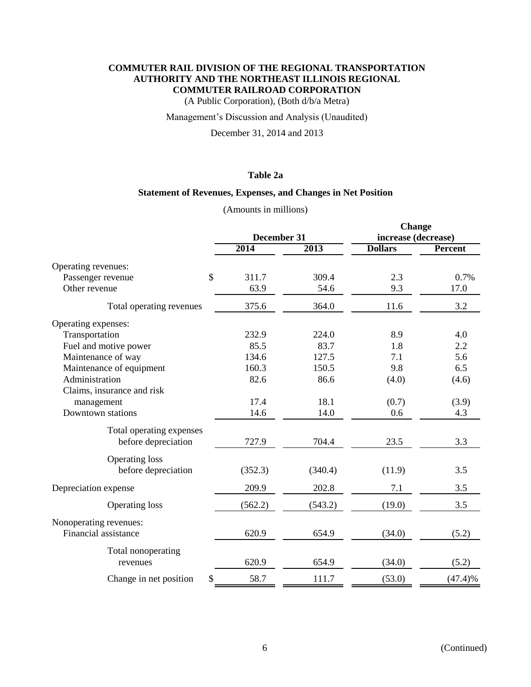(A Public Corporation), (Both d/b/a Metra)

## Management's Discussion and Analysis (Unaudited)

December 31, 2014 and 2013

## **Table 2a**

## **Statement of Revenues, Expenses, and Changes in Net Position**

| (Amounts in millions) |  |
|-----------------------|--|

|                                    |             |         | <b>Change</b>       |         |  |
|------------------------------------|-------------|---------|---------------------|---------|--|
|                                    | December 31 |         | increase (decrease) |         |  |
|                                    | 2014        | 2013    | <b>Dollars</b>      | Percent |  |
| Operating revenues:                |             |         |                     |         |  |
| $\mathcal{S}$<br>Passenger revenue | 311.7       | 309.4   | 2.3                 | 0.7%    |  |
| Other revenue                      | 63.9        | 54.6    | 9.3                 | 17.0    |  |
| Total operating revenues           | 375.6       | 364.0   | 11.6                | 3.2     |  |
| Operating expenses:                |             |         |                     |         |  |
| Transportation                     | 232.9       | 224.0   | 8.9                 | 4.0     |  |
| Fuel and motive power              | 85.5        | 83.7    | 1.8                 | 2.2     |  |
| Maintenance of way                 | 134.6       | 127.5   | 7.1                 | 5.6     |  |
| Maintenance of equipment           | 160.3       | 150.5   | 9.8                 | 6.5     |  |
| Administration                     | 82.6        | 86.6    | (4.0)               | (4.6)   |  |
| Claims, insurance and risk         |             |         |                     |         |  |
| management                         | 17.4        | 18.1    | (0.7)               | (3.9)   |  |
| Downtown stations                  | 14.6        | 14.0    | 0.6                 | 4.3     |  |
| Total operating expenses           |             |         |                     |         |  |
| before depreciation                | 727.9       | 704.4   | 23.5                | 3.3     |  |
| <b>Operating loss</b>              |             |         |                     |         |  |
| before depreciation                | (352.3)     | (340.4) | (11.9)              | 3.5     |  |
| Depreciation expense               | 209.9       | 202.8   | 7.1                 | 3.5     |  |
| <b>Operating loss</b>              | (562.2)     | (543.2) | (19.0)              | 3.5     |  |
| Nonoperating revenues:             |             |         |                     |         |  |
| Financial assistance               | 620.9       | 654.9   | (34.0)              | (5.2)   |  |
| Total nonoperating                 |             |         |                     |         |  |
| revenues                           | 620.9       | 654.9   | (34.0)              | (5.2)   |  |
| Change in net position<br>\$       | 58.7        | 111.7   | (53.0)              | (47.4)% |  |
|                                    |             |         |                     |         |  |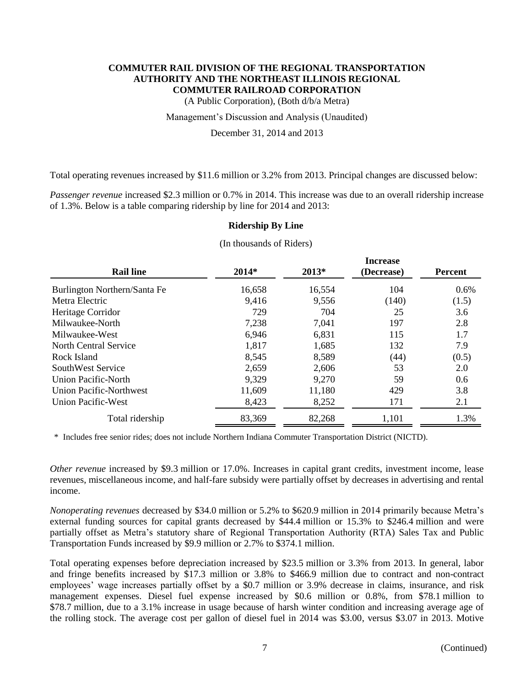(A Public Corporation), (Both d/b/a Metra)

Management's Discussion and Analysis (Unaudited)

December 31, 2014 and 2013

Total operating revenues increased by \$11.6 million or 3.2% from 2013. Principal changes are discussed below:

*Passenger revenue* increased \$2.3 million or 0.7% in 2014. This increase was due to an overall ridership increase of 1.3%. Below is a table comparing ridership by line for 2014 and 2013:

#### **Ridership By Line**

|                                |         |         | <b>Increase</b> |         |  |  |  |
|--------------------------------|---------|---------|-----------------|---------|--|--|--|
| <b>Rail line</b>               | $2014*$ | $2013*$ | (Decrease)      | Percent |  |  |  |
| Burlington Northern/Santa Fe   | 16,658  | 16,554  | 104             | 0.6%    |  |  |  |
| Metra Electric                 | 9,416   | 9,556   | (140)           | (1.5)   |  |  |  |
| Heritage Corridor              | 729     | 704     | 25              | 3.6     |  |  |  |
| Milwaukee-North                | 7,238   | 7,041   | 197             | 2.8     |  |  |  |
| Milwaukee-West                 | 6,946   | 6,831   | 115             | 1.7     |  |  |  |
| North Central Service          | 1,817   | 1,685   | 132             | 7.9     |  |  |  |
| Rock Island                    | 8,545   | 8,589   | (44)            | (0.5)   |  |  |  |
| SouthWest Service              | 2,659   | 2,606   | 53              | 2.0     |  |  |  |
| Union Pacific-North            | 9,329   | 9,270   | 59              | 0.6     |  |  |  |
| <b>Union Pacific-Northwest</b> | 11,609  | 11,180  | 429             | 3.8     |  |  |  |
| <b>Union Pacific-West</b>      | 8,423   | 8,252   | 171             | 2.1     |  |  |  |
| Total ridership                | 83,369  | 82,268  | 1,101           | 1.3%    |  |  |  |

(In thousands of Riders)

\* Includes free senior rides; does not include Northern Indiana Commuter Transportation District (NICTD).

*Other revenue* increased by \$9.3 million or 17.0%. Increases in capital grant credits, investment income, lease revenues, miscellaneous income, and half-fare subsidy were partially offset by decreases in advertising and rental income.

*Nonoperating revenues* decreased by \$34.0 million or 5.2% to \$620.9 million in 2014 primarily because Metra's external funding sources for capital grants decreased by \$44.4 million or 15.3% to \$246.4 million and were partially offset as Metra's statutory share of Regional Transportation Authority (RTA) Sales Tax and Public Transportation Funds increased by \$9.9 million or 2.7% to \$374.1 million.

Total operating expenses before depreciation increased by \$23.5 million or 3.3% from 2013. In general, labor and fringe benefits increased by \$17.3 million or 3.8% to \$466.9 million due to contract and non-contract employees' wage increases partially offset by a \$0.7 million or 3.9% decrease in claims, insurance, and risk management expenses. Diesel fuel expense increased by \$0.6 million or 0.8%, from \$78.1 million to \$78.7 million, due to a 3.1% increase in usage because of harsh winter condition and increasing average age of the rolling stock. The average cost per gallon of diesel fuel in 2014 was \$3.00, versus \$3.07 in 2013. Motive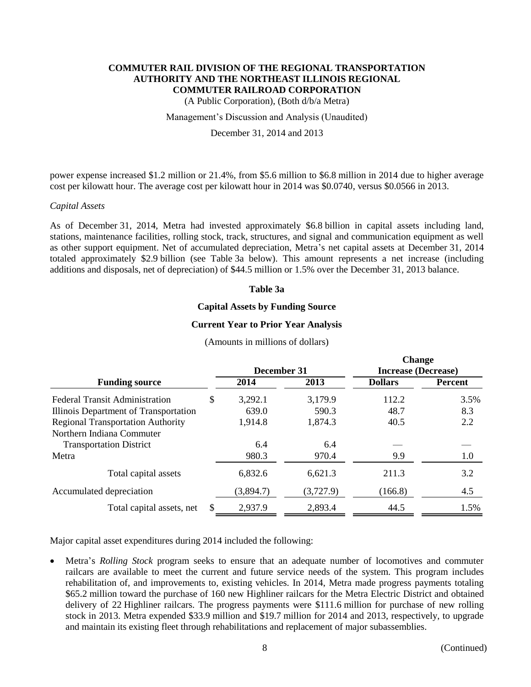(A Public Corporation), (Both d/b/a Metra)

#### Management's Discussion and Analysis (Unaudited)

#### December 31, 2014 and 2013

power expense increased \$1.2 million or 21.4%, from \$5.6 million to \$6.8 million in 2014 due to higher average cost per kilowatt hour. The average cost per kilowatt hour in 2014 was \$0.0740, versus \$0.0566 in 2013.

#### *Capital Assets*

As of December 31, 2014, Metra had invested approximately \$6.8 billion in capital assets including land, stations, maintenance facilities, rolling stock, track, structures, and signal and communication equipment as well as other support equipment. Net of accumulated depreciation, Metra's net capital assets at December 31, 2014 totaled approximately \$2.9 billion (see Table 3a below). This amount represents a net increase (including additions and disposals, net of depreciation) of \$44.5 million or 1.5% over the December 31, 2013 balance.

#### **Table 3a**

#### **Capital Assets by Funding Source**

#### **Current Year to Prior Year Analysis**

|                                          |    |             |           | Change                     |         |  |
|------------------------------------------|----|-------------|-----------|----------------------------|---------|--|
|                                          |    | December 31 |           | <b>Increase (Decrease)</b> |         |  |
| <b>Funding source</b>                    |    | 2014        | 2013      | <b>Dollars</b>             | Percent |  |
| <b>Federal Transit Administration</b>    | \$ | 3,292.1     | 3,179.9   | 112.2                      | 3.5%    |  |
| Illinois Department of Transportation    |    | 639.0       | 590.3     | 48.7                       | 8.3     |  |
| <b>Regional Transportation Authority</b> |    | 1,914.8     | 1,874.3   | 40.5                       | 2.2     |  |
| Northern Indiana Commuter                |    |             |           |                            |         |  |
| <b>Transportation District</b>           |    | 6.4         | 6.4       |                            |         |  |
| Metra                                    |    | 980.3       | 970.4     | 9.9                        | 1.0     |  |
| Total capital assets                     |    | 6,832.6     | 6,621.3   | 211.3                      | 3.2     |  |
| Accumulated depreciation                 |    | (3,894.7)   | (3,727.9) | (166.8)                    | 4.5     |  |
| Total capital assets, net                | S. | 2,937.9     | 2,893.4   | 44.5                       | 1.5%    |  |
|                                          |    |             |           |                            |         |  |

#### (Amounts in millions of dollars)

Major capital asset expenditures during 2014 included the following:

 Metra's *Rolling Stock* program seeks to ensure that an adequate number of locomotives and commuter railcars are available to meet the current and future service needs of the system. This program includes rehabilitation of, and improvements to, existing vehicles. In 2014, Metra made progress payments totaling \$65.2 million toward the purchase of 160 new Highliner railcars for the Metra Electric District and obtained delivery of 22 Highliner railcars. The progress payments were \$111.6 million for purchase of new rolling stock in 2013. Metra expended \$33.9 million and \$19.7 million for 2014 and 2013, respectively, to upgrade and maintain its existing fleet through rehabilitations and replacement of major subassemblies.

**Change**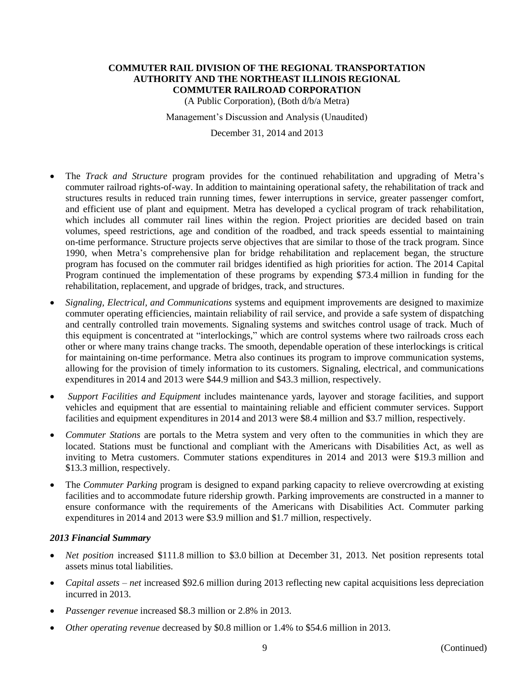(A Public Corporation), (Both d/b/a Metra)

Management's Discussion and Analysis (Unaudited)

December 31, 2014 and 2013

- The *Track and Structure* program provides for the continued rehabilitation and upgrading of Metra's commuter railroad rights-of-way. In addition to maintaining operational safety, the rehabilitation of track and structures results in reduced train running times, fewer interruptions in service, greater passenger comfort, and efficient use of plant and equipment. Metra has developed a cyclical program of track rehabilitation, which includes all commuter rail lines within the region. Project priorities are decided based on train volumes, speed restrictions, age and condition of the roadbed, and track speeds essential to maintaining on-time performance. Structure projects serve objectives that are similar to those of the track program. Since 1990, when Metra's comprehensive plan for bridge rehabilitation and replacement began, the structure program has focused on the commuter rail bridges identified as high priorities for action. The 2014 Capital Program continued the implementation of these programs by expending \$73.4 million in funding for the rehabilitation, replacement, and upgrade of bridges, track, and structures.
- *Signaling, Electrical, and Communications* systems and equipment improvements are designed to maximize commuter operating efficiencies, maintain reliability of rail service, and provide a safe system of dispatching and centrally controlled train movements. Signaling systems and switches control usage of track. Much of this equipment is concentrated at "interlockings," which are control systems where two railroads cross each other or where many trains change tracks. The smooth, dependable operation of these interlockings is critical for maintaining on-time performance. Metra also continues its program to improve communication systems, allowing for the provision of timely information to its customers. Signaling, electrical, and communications expenditures in 2014 and 2013 were \$44.9 million and \$43.3 million, respectively.
- *Support Facilities and Equipment* includes maintenance yards, layover and storage facilities, and support vehicles and equipment that are essential to maintaining reliable and efficient commuter services. Support facilities and equipment expenditures in 2014 and 2013 were \$8.4 million and \$3.7 million, respectively.
- *Commuter Stations* are portals to the Metra system and very often to the communities in which they are located. Stations must be functional and compliant with the Americans with Disabilities Act, as well as inviting to Metra customers. Commuter stations expenditures in 2014 and 2013 were \$19.3 million and \$13.3 million, respectively.
- The *Commuter Parking* program is designed to expand parking capacity to relieve overcrowding at existing facilities and to accommodate future ridership growth. Parking improvements are constructed in a manner to ensure conformance with the requirements of the Americans with Disabilities Act. Commuter parking expenditures in 2014 and 2013 were \$3.9 million and \$1.7 million, respectively.

## *2013 Financial Summary*

- *Net position* increased \$111.8 million to \$3.0 billion at December 31, 2013. Net position represents total assets minus total liabilities.
- *Capital assets net* increased \$92.6 million during 2013 reflecting new capital acquisitions less depreciation incurred in 2013.
- *Passenger revenue* increased \$8.3 million or 2.8% in 2013.
- *Other operating revenue* decreased by \$0.8 million or 1.4% to \$54.6 million in 2013.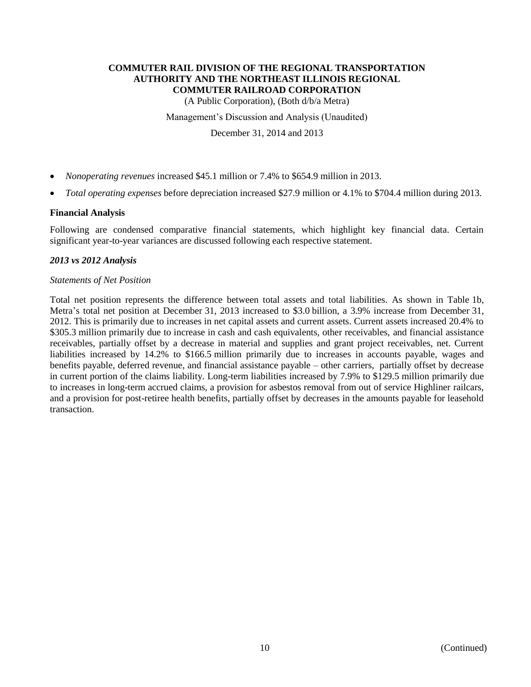(A Public Corporation), (Both d/b/a Metra)

Management's Discussion and Analysis (Unaudited)

December 31, 2014 and 2013

- *Nonoperating revenues* increased \$45.1 million or 7.4% to \$654.9 million in 2013.
- *Total operating expenses* before depreciation increased \$27.9 million or 4.1% to \$704.4 million during 2013.

## **Financial Analysis**

Following are condensed comparative financial statements, which highlight key financial data. Certain significant year-to-year variances are discussed following each respective statement.

## *2013 vs 2012 Analysis*

#### *Statements of Net Position*

Total net position represents the difference between total assets and total liabilities. As shown in Table 1b, Metra's total net position at December 31, 2013 increased to \$3.0 billion, a 3.9% increase from December 31, 2012. This is primarily due to increases in net capital assets and current assets. Current assets increased 20.4% to \$305.3 million primarily due to increase in cash and cash equivalents, other receivables, and financial assistance receivables, partially offset by a decrease in material and supplies and grant project receivables, net. Current liabilities increased by 14.2% to \$166.5 million primarily due to increases in accounts payable, wages and benefits payable, deferred revenue, and financial assistance payable – other carriers, partially offset by decrease in current portion of the claims liability. Long-term liabilities increased by 7.9% to \$129.5 million primarily due to increases in long-term accrued claims, a provision for asbestos removal from out of service Highliner railcars, and a provision for post-retiree health benefits, partially offset by decreases in the amounts payable for leasehold transaction.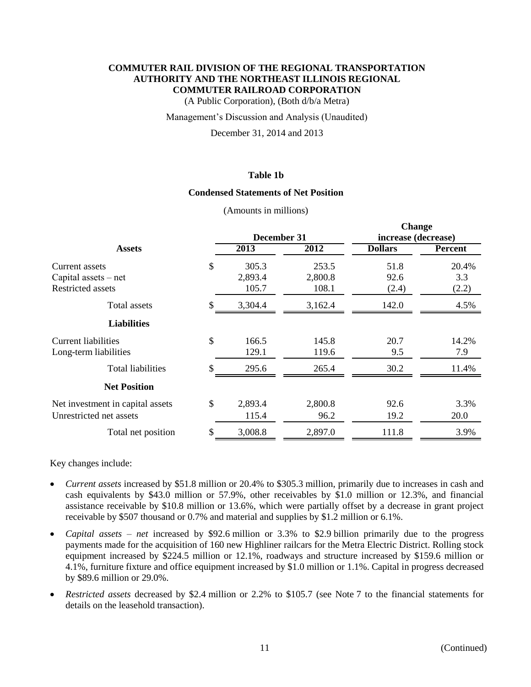(A Public Corporation), (Both d/b/a Metra)

#### Management's Discussion and Analysis (Unaudited)

December 31, 2014 and 2013

## **Table 1b**

#### **Condensed Statements of Net Position**

(Amounts in millions)

|                                  |               |         | <b>Change</b>       |                |  |
|----------------------------------|---------------|---------|---------------------|----------------|--|
|                                  | December 31   |         | increase (decrease) |                |  |
| <b>Assets</b>                    | 2013          | 2012    | <b>Dollars</b>      | <b>Percent</b> |  |
| Current assets                   | \$<br>305.3   | 253.5   | 51.8                | 20.4%          |  |
| Capital assets - net             | 2,893.4       | 2,800.8 | 92.6                | 3.3            |  |
| <b>Restricted assets</b>         | 105.7         | 108.1   | (2.4)               | (2.2)          |  |
| Total assets                     | \$<br>3,304.4 | 3,162.4 | 142.0               | 4.5%           |  |
| <b>Liabilities</b>               |               |         |                     |                |  |
| <b>Current liabilities</b>       | \$<br>166.5   | 145.8   | 20.7                | 14.2%          |  |
| Long-term liabilities            | 129.1         | 119.6   | 9.5                 | 7.9            |  |
| <b>Total liabilities</b>         | \$<br>295.6   | 265.4   | 30.2                | 11.4%          |  |
| <b>Net Position</b>              |               |         |                     |                |  |
| Net investment in capital assets | \$<br>2,893.4 | 2,800.8 | 92.6                | 3.3%           |  |
| Unrestricted net assets          | 115.4         | 96.2    | 19.2                | 20.0           |  |
| Total net position               | \$<br>3,008.8 | 2,897.0 | 111.8               | 3.9%           |  |
|                                  |               |         |                     |                |  |

Key changes include:

- *Current assets* increased by \$51.8 million or 20.4% to \$305.3 million, primarily due to increases in cash and cash equivalents by \$43.0 million or 57.9%, other receivables by \$1.0 million or 12.3%, and financial assistance receivable by \$10.8 million or 13.6%, which were partially offset by a decrease in grant project receivable by \$507 thousand or 0.7% and material and supplies by \$1.2 million or 6.1%.
- *Capital assets net* increased by \$92.6 million or 3.3% to \$2.9 billion primarily due to the progress payments made for the acquisition of 160 new Highliner railcars for the Metra Electric District. Rolling stock equipment increased by \$224.5 million or 12.1%, roadways and structure increased by \$159.6 million or 4.1%, furniture fixture and office equipment increased by \$1.0 million or 1.1%. Capital in progress decreased by \$89.6 million or 29.0%.
- *Restricted assets* decreased by \$2.4 million or 2.2% to \$105.7 (see Note 7 to the financial statements for details on the leasehold transaction).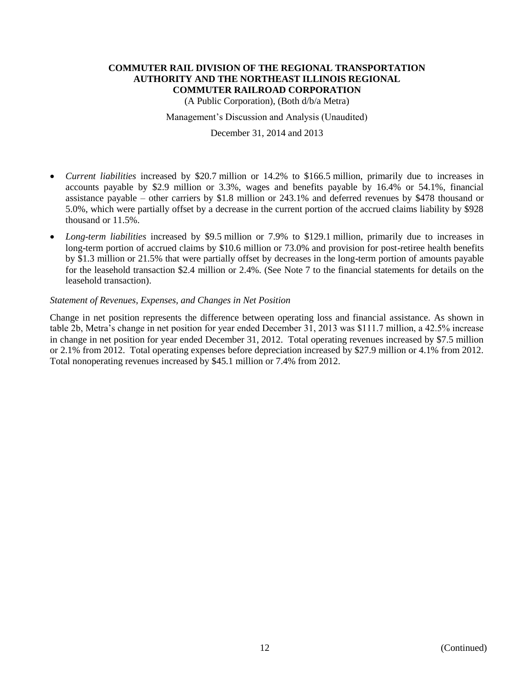(A Public Corporation), (Both d/b/a Metra)

Management's Discussion and Analysis (Unaudited)

December 31, 2014 and 2013

- *Current liabilities* increased by \$20.7 million or 14.2% to \$166.5 million, primarily due to increases in accounts payable by \$2.9 million or 3.3%, wages and benefits payable by 16.4% or 54.1%, financial assistance payable – other carriers by \$1.8 million or 243.1% and deferred revenues by \$478 thousand or 5.0%, which were partially offset by a decrease in the current portion of the accrued claims liability by \$928 thousand or 11.5%.
- *Long-term liabilities* increased by \$9.5 million or 7.9% to \$129.1 million, primarily due to increases in long-term portion of accrued claims by \$10.6 million or 73.0% and provision for post-retiree health benefits by \$1.3 million or 21.5% that were partially offset by decreases in the long-term portion of amounts payable for the leasehold transaction \$2.4 million or 2.4%. (See Note 7 to the financial statements for details on the leasehold transaction).

## *Statement of Revenues, Expenses, and Changes in Net Position*

Change in net position represents the difference between operating loss and financial assistance. As shown in table 2b, Metra's change in net position for year ended December 31, 2013 was \$111.7 million, a 42.5% increase in change in net position for year ended December 31, 2012. Total operating revenues increased by \$7.5 million or 2.1% from 2012. Total operating expenses before depreciation increased by \$27.9 million or 4.1% from 2012. Total nonoperating revenues increased by \$45.1 million or 7.4% from 2012.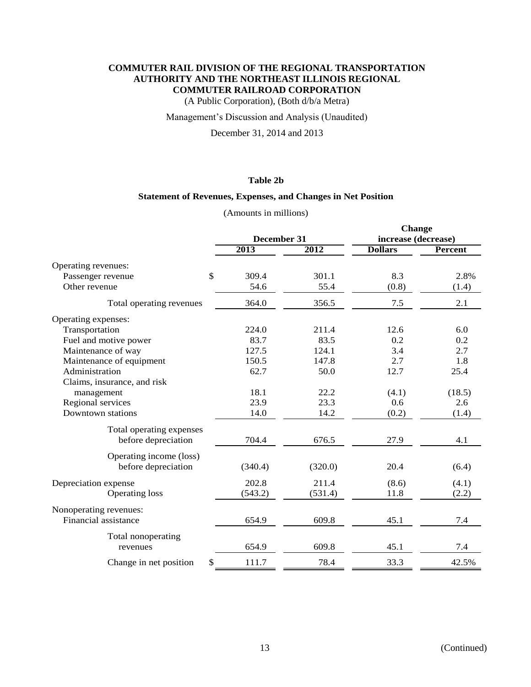(A Public Corporation), (Both d/b/a Metra)

## Management's Discussion and Analysis (Unaudited)

December 31, 2014 and 2013

#### **Table 2b**

## **Statement of Revenues, Expenses, and Changes in Net Position**

(Amounts in millions)

|                                   |             |         | <b>Change</b>       |                |  |
|-----------------------------------|-------------|---------|---------------------|----------------|--|
|                                   | December 31 |         | increase (decrease) |                |  |
|                                   | 2013        | 2012    | <b>Dollars</b>      | <b>Percent</b> |  |
| Operating revenues:               |             |         |                     |                |  |
| $\mathbb{S}$<br>Passenger revenue | 309.4       | 301.1   | 8.3                 | 2.8%           |  |
| Other revenue                     | 54.6        | 55.4    | (0.8)               | (1.4)          |  |
| Total operating revenues          | 364.0       | 356.5   | 7.5                 | 2.1            |  |
| Operating expenses:               |             |         |                     |                |  |
| Transportation                    | 224.0       | 211.4   | 12.6                | 6.0            |  |
| Fuel and motive power             | 83.7        | 83.5    | 0.2                 | 0.2            |  |
| Maintenance of way                | 127.5       | 124.1   | 3.4                 | 2.7            |  |
| Maintenance of equipment          | 150.5       | 147.8   | 2.7                 | 1.8            |  |
| Administration                    | 62.7        | 50.0    | 12.7                | 25.4           |  |
| Claims, insurance, and risk       |             |         |                     |                |  |
| management                        | 18.1        | 22.2    | (4.1)               | (18.5)         |  |
| Regional services                 | 23.9        | 23.3    | 0.6                 | 2.6            |  |
| Downtown stations                 | 14.0        | 14.2    | (0.2)               | (1.4)          |  |
| Total operating expenses          |             |         |                     |                |  |
| before depreciation               | 704.4       | 676.5   | 27.9                | 4.1            |  |
| Operating income (loss)           |             |         |                     |                |  |
| before depreciation               | (340.4)     | (320.0) | 20.4                | (6.4)          |  |
| Depreciation expense              | 202.8       | 211.4   | (8.6)               | (4.1)          |  |
| Operating loss                    | (543.2)     | (531.4) | 11.8                | (2.2)          |  |
| Nonoperating revenues:            |             |         |                     |                |  |
| Financial assistance              | 654.9       | 609.8   | 45.1                | 7.4            |  |
| Total nonoperating                |             |         |                     |                |  |
| revenues                          | 654.9       | 609.8   | 45.1                | 7.4            |  |
| Change in net position            | 111.7       | 78.4    | 33.3                | 42.5%          |  |
|                                   |             |         |                     |                |  |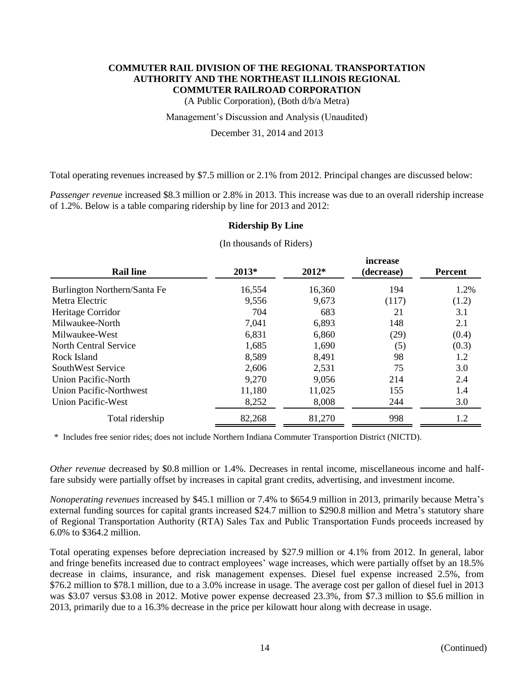(A Public Corporation), (Both d/b/a Metra)

Management's Discussion and Analysis (Unaudited)

December 31, 2014 and 2013

Total operating revenues increased by \$7.5 million or 2.1% from 2012. Principal changes are discussed below:

*Passenger revenue* increased \$8.3 million or 2.8% in 2013. This increase was due to an overall ridership increase of 1.2%. Below is a table comparing ridership by line for 2013 and 2012:

#### **Ridership By Line**

|                                |        |         | increase   |         |
|--------------------------------|--------|---------|------------|---------|
| <b>Rail line</b>               | 2013*  | $2012*$ | (decrease) | Percent |
| Burlington Northern/Santa Fe   | 16,554 | 16,360  | 194        | 1.2%    |
| Metra Electric                 | 9,556  | 9,673   | (117)      | (1.2)   |
| Heritage Corridor              | 704    | 683     | 21         | 3.1     |
| Milwaukee-North                | 7,041  | 6,893   | 148        | 2.1     |
| Milwaukee-West                 | 6,831  | 6,860   | (29)       | (0.4)   |
| North Central Service          | 1,685  | 1,690   | (5)        | (0.3)   |
| Rock Island                    | 8.589  | 8,491   | 98         | 1.2     |
| SouthWest Service              | 2,606  | 2,531   | 75         | 3.0     |
| Union Pacific-North            | 9,270  | 9,056   | 214        | 2.4     |
| <b>Union Pacific-Northwest</b> | 11,180 | 11,025  | 155        | 1.4     |
| <b>Union Pacific-West</b>      | 8,252  | 8,008   | 244        | 3.0     |
| Total ridership                | 82,268 | 81,270  | 998        | 1.2     |

(In thousands of Riders)

\* Includes free senior rides; does not include Northern Indiana Commuter Transportion District (NICTD).

*Other revenue* decreased by \$0.8 million or 1.4%. Decreases in rental income, miscellaneous income and halffare subsidy were partially offset by increases in capital grant credits, advertising, and investment income.

*Nonoperating revenues* increased by \$45.1 million or 7.4% to \$654.9 million in 2013, primarily because Metra's external funding sources for capital grants increased \$24.7 million to \$290.8 million and Metra's statutory share of Regional Transportation Authority (RTA) Sales Tax and Public Transportation Funds proceeds increased by 6.0% to \$364.2 million.

Total operating expenses before depreciation increased by \$27.9 million or 4.1% from 2012. In general, labor and fringe benefits increased due to contract employees' wage increases, which were partially offset by an 18.5% decrease in claims, insurance, and risk management expenses. Diesel fuel expense increased 2.5%, from \$76.2 million to \$78.1 million, due to a 3.0% increase in usage. The average cost per gallon of diesel fuel in 2013 was \$3.07 versus \$3.08 in 2012. Motive power expense decreased 23.3%, from \$7.3 million to \$5.6 million in 2013, primarily due to a 16.3% decrease in the price per kilowatt hour along with decrease in usage.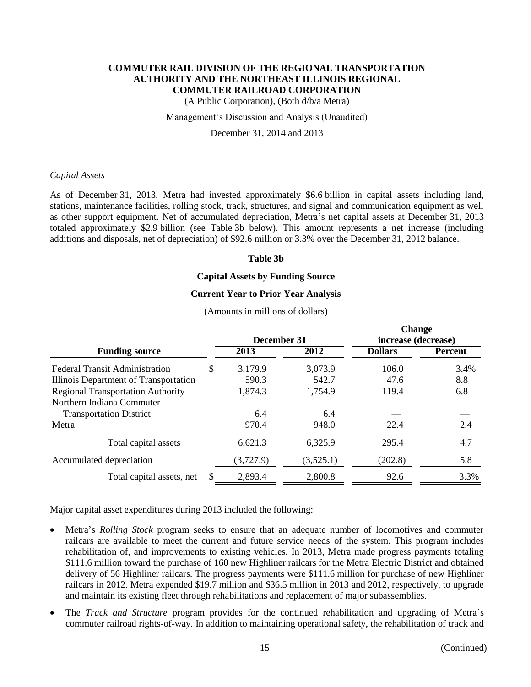(A Public Corporation), (Both d/b/a Metra)

#### Management's Discussion and Analysis (Unaudited)

December 31, 2014 and 2013

#### *Capital Assets*

As of December 31, 2013, Metra had invested approximately \$6.6 billion in capital assets including land, stations, maintenance facilities, rolling stock, track, structures, and signal and communication equipment as well as other support equipment. Net of accumulated depreciation, Metra's net capital assets at December 31, 2013 totaled approximately \$2.9 billion (see Table 3b below). This amount represents a net increase (including additions and disposals, net of depreciation) of \$92.6 million or 3.3% over the December 31, 2012 balance.

#### **Table 3b**

#### **Capital Assets by Funding Source**

#### **Current Year to Prior Year Analysis**

(Amounts in millions of dollars)

|                                          |    |             |           | <b>Change</b>       |                |  |
|------------------------------------------|----|-------------|-----------|---------------------|----------------|--|
|                                          |    | December 31 |           | increase (decrease) |                |  |
| <b>Funding source</b>                    |    | 2013        | 2012      | <b>Dollars</b>      | <b>Percent</b> |  |
| <b>Federal Transit Administration</b>    | S  | 3,179.9     | 3,073.9   | 106.0               | 3.4%           |  |
| Illinois Department of Transportation    |    | 590.3       | 542.7     | 47.6                | 8.8            |  |
| <b>Regional Transportation Authority</b> |    | 1,874.3     | 1,754.9   | 119.4               | 6.8            |  |
| Northern Indiana Commuter                |    |             |           |                     |                |  |
| <b>Transportation District</b>           |    | 6.4         | 6.4       |                     |                |  |
| Metra                                    |    | 970.4       | 948.0     | 22.4                | 2.4            |  |
| Total capital assets                     |    | 6,621.3     | 6,325.9   | 295.4               | 4.7            |  |
| Accumulated depreciation                 |    | (3,727.9)   | (3,525.1) | (202.8)             | 5.8            |  |
| Total capital assets, net                | \$ | 2,893.4     | 2,800.8   | 92.6                | 3.3%           |  |
|                                          |    |             |           |                     |                |  |

Major capital asset expenditures during 2013 included the following:

- Metra's *Rolling Stock* program seeks to ensure that an adequate number of locomotives and commuter railcars are available to meet the current and future service needs of the system. This program includes rehabilitation of, and improvements to existing vehicles. In 2013, Metra made progress payments totaling \$111.6 million toward the purchase of 160 new Highliner railcars for the Metra Electric District and obtained delivery of 56 Highliner railcars. The progress payments were \$111.6 million for purchase of new Highliner railcars in 2012. Metra expended \$19.7 million and \$36.5 million in 2013 and 2012, respectively, to upgrade and maintain its existing fleet through rehabilitations and replacement of major subassemblies.
- The *Track and Structure* program provides for the continued rehabilitation and upgrading of Metra's commuter railroad rights-of-way. In addition to maintaining operational safety, the rehabilitation of track and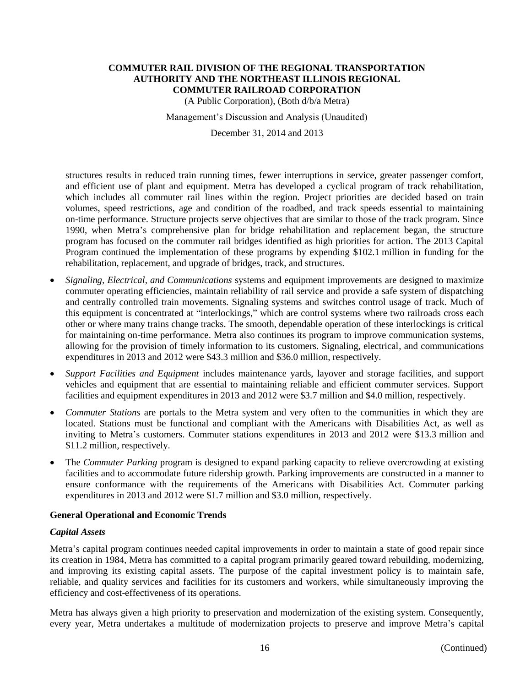(A Public Corporation), (Both d/b/a Metra)

Management's Discussion and Analysis (Unaudited)

December 31, 2014 and 2013

structures results in reduced train running times, fewer interruptions in service, greater passenger comfort, and efficient use of plant and equipment. Metra has developed a cyclical program of track rehabilitation, which includes all commuter rail lines within the region. Project priorities are decided based on train volumes, speed restrictions, age and condition of the roadbed, and track speeds essential to maintaining on-time performance. Structure projects serve objectives that are similar to those of the track program. Since 1990, when Metra's comprehensive plan for bridge rehabilitation and replacement began, the structure program has focused on the commuter rail bridges identified as high priorities for action. The 2013 Capital Program continued the implementation of these programs by expending \$102.1 million in funding for the rehabilitation, replacement, and upgrade of bridges, track, and structures.

- *Signaling, Electrical, and Communications* systems and equipment improvements are designed to maximize commuter operating efficiencies, maintain reliability of rail service and provide a safe system of dispatching and centrally controlled train movements. Signaling systems and switches control usage of track. Much of this equipment is concentrated at "interlockings," which are control systems where two railroads cross each other or where many trains change tracks. The smooth, dependable operation of these interlockings is critical for maintaining on-time performance. Metra also continues its program to improve communication systems, allowing for the provision of timely information to its customers. Signaling, electrical, and communications expenditures in 2013 and 2012 were \$43.3 million and \$36.0 million, respectively.
- *Support Facilities and Equipment* includes maintenance yards, layover and storage facilities, and support vehicles and equipment that are essential to maintaining reliable and efficient commuter services. Support facilities and equipment expenditures in 2013 and 2012 were \$3.7 million and \$4.0 million, respectively.
- *Commuter Stations* are portals to the Metra system and very often to the communities in which they are located. Stations must be functional and compliant with the Americans with Disabilities Act, as well as inviting to Metra's customers. Commuter stations expenditures in 2013 and 2012 were \$13.3 million and \$11.2 million, respectively.
- The *Commuter Parking* program is designed to expand parking capacity to relieve overcrowding at existing facilities and to accommodate future ridership growth. Parking improvements are constructed in a manner to ensure conformance with the requirements of the Americans with Disabilities Act. Commuter parking expenditures in 2013 and 2012 were \$1.7 million and \$3.0 million, respectively.

## **General Operational and Economic Trends**

#### *Capital Assets*

Metra's capital program continues needed capital improvements in order to maintain a state of good repair since its creation in 1984, Metra has committed to a capital program primarily geared toward rebuilding, modernizing, and improving its existing capital assets. The purpose of the capital investment policy is to maintain safe, reliable, and quality services and facilities for its customers and workers, while simultaneously improving the efficiency and cost-effectiveness of its operations.

Metra has always given a high priority to preservation and modernization of the existing system. Consequently, every year, Metra undertakes a multitude of modernization projects to preserve and improve Metra's capital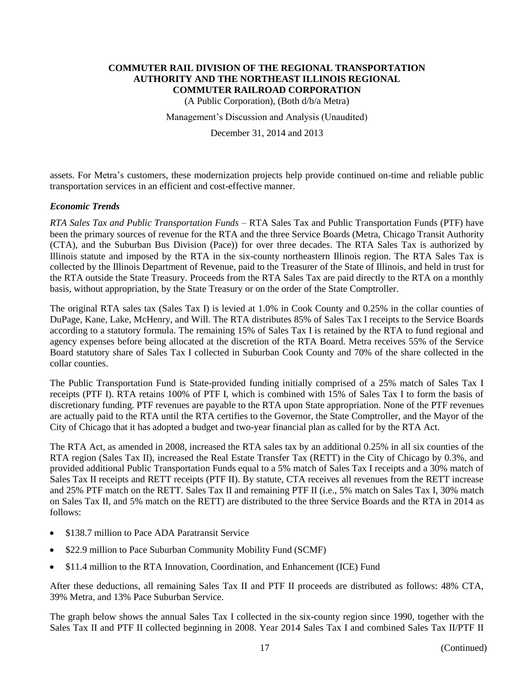(A Public Corporation), (Both d/b/a Metra)

Management's Discussion and Analysis (Unaudited)

December 31, 2014 and 2013

assets. For Metra's customers, these modernization projects help provide continued on-time and reliable public transportation services in an efficient and cost-effective manner.

## *Economic Trends*

*RTA Sales Tax and Public Transportation Funds* – RTA Sales Tax and Public Transportation Funds (PTF) have been the primary sources of revenue for the RTA and the three Service Boards (Metra, Chicago Transit Authority (CTA), and the Suburban Bus Division (Pace)) for over three decades. The RTA Sales Tax is authorized by Illinois statute and imposed by the RTA in the six-county northeastern Illinois region. The RTA Sales Tax is collected by the Illinois Department of Revenue, paid to the Treasurer of the State of Illinois, and held in trust for the RTA outside the State Treasury. Proceeds from the RTA Sales Tax are paid directly to the RTA on a monthly basis, without appropriation, by the State Treasury or on the order of the State Comptroller.

The original RTA sales tax (Sales Tax I) is levied at 1.0% in Cook County and 0.25% in the collar counties of DuPage, Kane, Lake, McHenry, and Will. The RTA distributes 85% of Sales Tax I receipts to the Service Boards according to a statutory formula. The remaining 15% of Sales Tax I is retained by the RTA to fund regional and agency expenses before being allocated at the discretion of the RTA Board. Metra receives 55% of the Service Board statutory share of Sales Tax I collected in Suburban Cook County and 70% of the share collected in the collar counties.

The Public Transportation Fund is State-provided funding initially comprised of a 25% match of Sales Tax I receipts (PTF I). RTA retains 100% of PTF I, which is combined with 15% of Sales Tax I to form the basis of discretionary funding. PTF revenues are payable to the RTA upon State appropriation. None of the PTF revenues are actually paid to the RTA until the RTA certifies to the Governor, the State Comptroller, and the Mayor of the City of Chicago that it has adopted a budget and two-year financial plan as called for by the RTA Act.

The RTA Act, as amended in 2008, increased the RTA sales tax by an additional 0.25% in all six counties of the RTA region (Sales Tax II), increased the Real Estate Transfer Tax (RETT) in the City of Chicago by 0.3%, and provided additional Public Transportation Funds equal to a 5% match of Sales Tax I receipts and a 30% match of Sales Tax II receipts and RETT receipts (PTF II). By statute, CTA receives all revenues from the RETT increase and 25% PTF match on the RETT. Sales Tax II and remaining PTF II (i.e., 5% match on Sales Tax I, 30% match on Sales Tax II, and 5% match on the RETT) are distributed to the three Service Boards and the RTA in 2014 as follows:

- \$138.7 million to Pace ADA Paratransit Service
- \$22.9 million to Pace Suburban Community Mobility Fund (SCMF)
- \$11.4 million to the RTA Innovation, Coordination, and Enhancement (ICE) Fund

After these deductions, all remaining Sales Tax II and PTF II proceeds are distributed as follows: 48% CTA, 39% Metra, and 13% Pace Suburban Service.

The graph below shows the annual Sales Tax I collected in the six-county region since 1990, together with the Sales Tax II and PTF II collected beginning in 2008. Year 2014 Sales Tax I and combined Sales Tax II/PTF II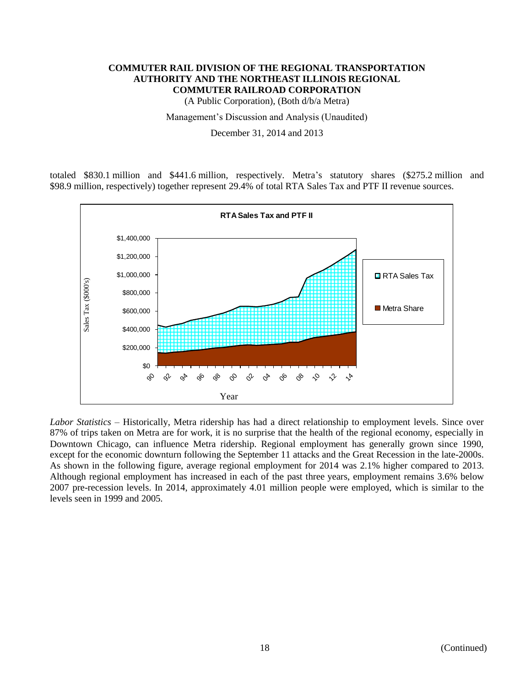(A Public Corporation), (Both d/b/a Metra)

Management's Discussion and Analysis (Unaudited)

December 31, 2014 and 2013

totaled \$830.1 million and \$441.6 million, respectively. Metra's statutory shares (\$275.2 million and \$98.9 million, respectively) together represent 29.4% of total RTA Sales Tax and PTF II revenue sources.



*Labor Statistics* – Historically, Metra ridership has had a direct relationship to employment levels. Since over 87% of trips taken on Metra are for work, it is no surprise that the health of the regional economy, especially in Downtown Chicago, can influence Metra ridership. Regional employment has generally grown since 1990, except for the economic downturn following the September 11 attacks and the Great Recession in the late-2000s. As shown in the following figure, average regional employment for 2014 was 2.1% higher compared to 2013. Although regional employment has increased in each of the past three years, employment remains 3.6% below 2007 pre-recession levels. In 2014, approximately 4.01 million people were employed, which is similar to the levels seen in 1999 and 2005.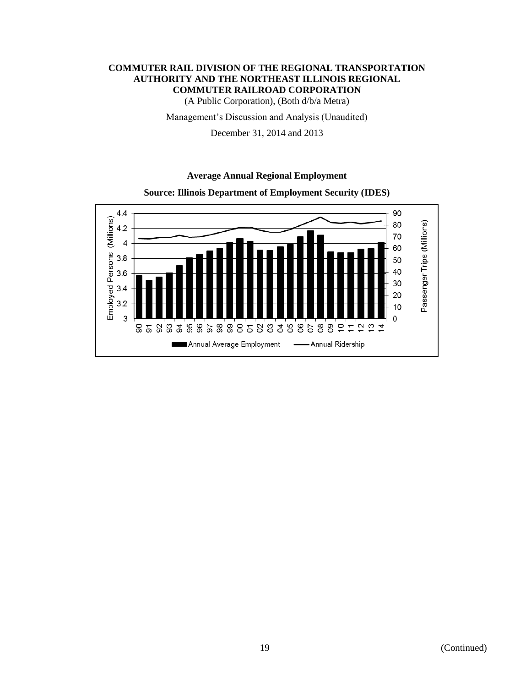(A Public Corporation), (Both d/b/a Metra)

Management's Discussion and Analysis (Unaudited)

December 31, 2014 and 2013

## **Average Annual Regional Employment**



**Source: Illinois Department of Employment Security (IDES)**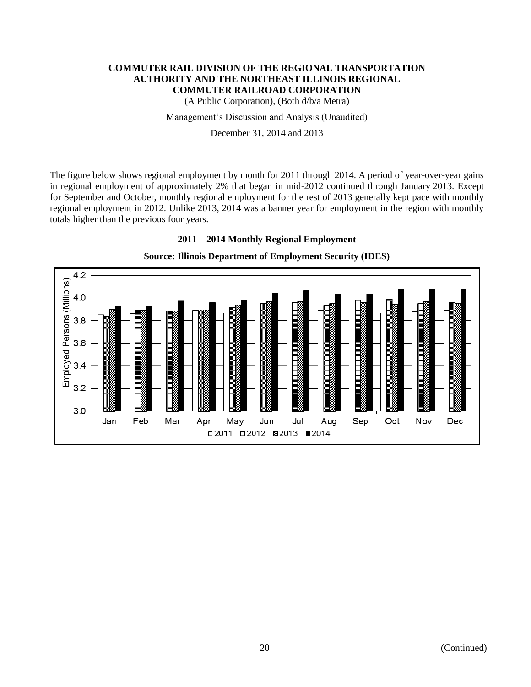(A Public Corporation), (Both d/b/a Metra)

Management's Discussion and Analysis (Unaudited)

December 31, 2014 and 2013

The figure below shows regional employment by month for 2011 through 2014. A period of year-over-year gains in regional employment of approximately 2% that began in mid-2012 continued through January 2013. Except for September and October, monthly regional employment for the rest of 2013 generally kept pace with monthly regional employment in 2012. Unlike 2013, 2014 was a banner year for employment in the region with monthly totals higher than the previous four years.



## **2011 – 2014 Monthly Regional Employment**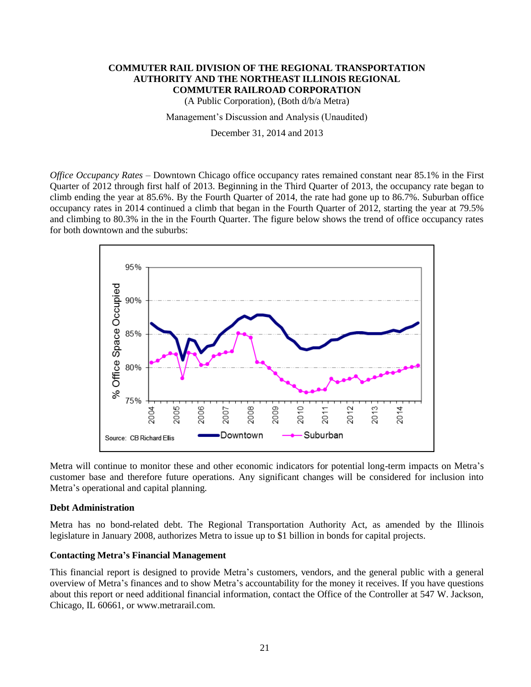(A Public Corporation), (Both d/b/a Metra)

Management's Discussion and Analysis (Unaudited)

December 31, 2014 and 2013

*Office Occupancy Rates* – Downtown Chicago office occupancy rates remained constant near 85.1% in the First Quarter of 2012 through first half of 2013. Beginning in the Third Quarter of 2013, the occupancy rate began to climb ending the year at 85.6%. By the Fourth Quarter of 2014, the rate had gone up to 86.7%. Suburban office occupancy rates in 2014 continued a climb that began in the Fourth Quarter of 2012, starting the year at 79.5% and climbing to 80.3% in the in the Fourth Quarter. The figure below shows the trend of office occupancy rates for both downtown and the suburbs:



Metra will continue to monitor these and other economic indicators for potential long-term impacts on Metra's customer base and therefore future operations. Any significant changes will be considered for inclusion into Metra's operational and capital planning.

#### **Debt Administration**

Metra has no bond-related debt. The Regional Transportation Authority Act, as amended by the Illinois legislature in January 2008, authorizes Metra to issue up to \$1 billion in bonds for capital projects.

## **Contacting Metra's Financial Management**

This financial report is designed to provide Metra's customers, vendors, and the general public with a general overview of Metra's finances and to show Metra's accountability for the money it receives. If you have questions about this report or need additional financial information, contact the Office of the Controller at 547 W. Jackson, Chicago, IL 60661, or www.metrarail.com.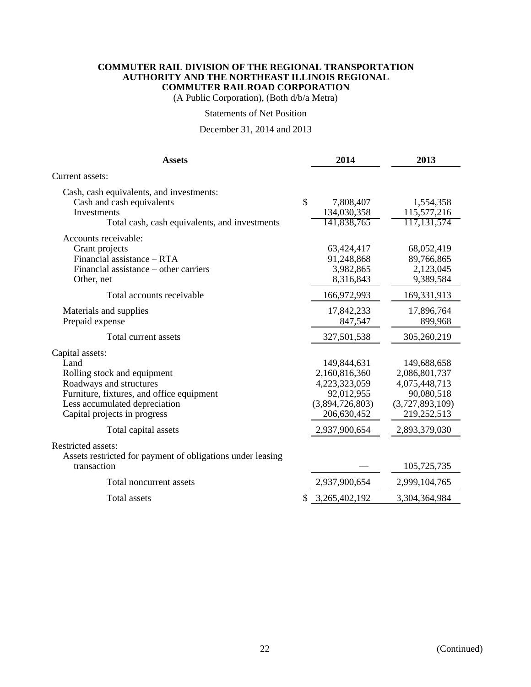(A Public Corporation), (Both d/b/a Metra)

#### Statements of Net Position

## December 31, 2014 and 2013

| Cash, cash equivalents, and investments:<br>\$<br>Cash and cash equivalents<br>7,808,407<br>1,554,358<br>134,030,358<br>115,577,216<br>Investments<br>141,838,765<br>117, 131, 574<br>Total cash, cash equivalents, and investments<br>Accounts receivable:<br>Grant projects<br>63,424,417<br>68,052,419<br>Financial assistance - RTA<br>91,248,868<br>89,766,865<br>Financial assistance – other carriers<br>3,982,865<br>2,123,045<br>8,316,843<br>9,389,584<br>Other, net<br>166,972,993<br>169,331,913<br>Total accounts receivable<br>17,842,233<br>Materials and supplies<br>17,896,764<br>Prepaid expense<br>847,547<br>899,968<br>Total current assets<br>327,501,538<br>305,260,219<br>Land<br>149,844,631<br>149,688,658<br>2,160,816,360<br>Rolling stock and equipment<br>2,086,801,737<br>Roadways and structures<br>4,223,323,059<br>4,075,448,713<br>Furniture, fixtures, and office equipment<br>92,012,955<br>90,080,518<br>(3,894,726,803)<br>(3,727,893,109)<br>Less accumulated depreciation<br>206,630,452<br>219,252,513<br>Capital projects in progress<br>2,937,900,654<br>2,893,379,030<br>Total capital assets<br>Assets restricted for payment of obligations under leasing<br>transaction<br>105,725,735<br>Total noncurrent assets<br>2,937,900,654<br>2,999,104,765 | <b>Assets</b>       |    | 2014          | 2013          |
|-----------------------------------------------------------------------------------------------------------------------------------------------------------------------------------------------------------------------------------------------------------------------------------------------------------------------------------------------------------------------------------------------------------------------------------------------------------------------------------------------------------------------------------------------------------------------------------------------------------------------------------------------------------------------------------------------------------------------------------------------------------------------------------------------------------------------------------------------------------------------------------------------------------------------------------------------------------------------------------------------------------------------------------------------------------------------------------------------------------------------------------------------------------------------------------------------------------------------------------------------------------------------------------------------------|---------------------|----|---------------|---------------|
|                                                                                                                                                                                                                                                                                                                                                                                                                                                                                                                                                                                                                                                                                                                                                                                                                                                                                                                                                                                                                                                                                                                                                                                                                                                                                                     | Current assets:     |    |               |               |
|                                                                                                                                                                                                                                                                                                                                                                                                                                                                                                                                                                                                                                                                                                                                                                                                                                                                                                                                                                                                                                                                                                                                                                                                                                                                                                     |                     |    |               |               |
|                                                                                                                                                                                                                                                                                                                                                                                                                                                                                                                                                                                                                                                                                                                                                                                                                                                                                                                                                                                                                                                                                                                                                                                                                                                                                                     |                     |    |               |               |
|                                                                                                                                                                                                                                                                                                                                                                                                                                                                                                                                                                                                                                                                                                                                                                                                                                                                                                                                                                                                                                                                                                                                                                                                                                                                                                     |                     |    |               |               |
|                                                                                                                                                                                                                                                                                                                                                                                                                                                                                                                                                                                                                                                                                                                                                                                                                                                                                                                                                                                                                                                                                                                                                                                                                                                                                                     |                     |    |               |               |
|                                                                                                                                                                                                                                                                                                                                                                                                                                                                                                                                                                                                                                                                                                                                                                                                                                                                                                                                                                                                                                                                                                                                                                                                                                                                                                     |                     |    |               |               |
|                                                                                                                                                                                                                                                                                                                                                                                                                                                                                                                                                                                                                                                                                                                                                                                                                                                                                                                                                                                                                                                                                                                                                                                                                                                                                                     | Capital assets:     |    |               |               |
|                                                                                                                                                                                                                                                                                                                                                                                                                                                                                                                                                                                                                                                                                                                                                                                                                                                                                                                                                                                                                                                                                                                                                                                                                                                                                                     |                     |    |               |               |
|                                                                                                                                                                                                                                                                                                                                                                                                                                                                                                                                                                                                                                                                                                                                                                                                                                                                                                                                                                                                                                                                                                                                                                                                                                                                                                     | Restricted assets:  |    |               |               |
|                                                                                                                                                                                                                                                                                                                                                                                                                                                                                                                                                                                                                                                                                                                                                                                                                                                                                                                                                                                                                                                                                                                                                                                                                                                                                                     |                     |    |               |               |
|                                                                                                                                                                                                                                                                                                                                                                                                                                                                                                                                                                                                                                                                                                                                                                                                                                                                                                                                                                                                                                                                                                                                                                                                                                                                                                     | <b>Total assets</b> | S. | 3,265,402,192 | 3,304,364,984 |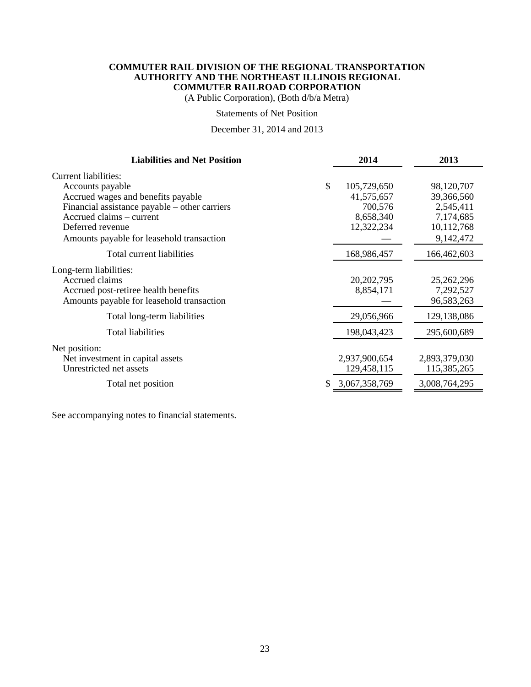(A Public Corporation), (Both d/b/a Metra)

#### Statements of Net Position

## December 31, 2014 and 2013

| <b>Liabilities and Net Position</b>           | 2014                | 2013          |
|-----------------------------------------------|---------------------|---------------|
| Current liabilities:<br>Accounts payable      | \$<br>105,729,650   | 98,120,707    |
| Accrued wages and benefits payable            | 41,575,657          | 39,366,560    |
| Financial assistance payable – other carriers | 700,576             | 2,545,411     |
| Accrued claims – current                      | 8,658,340           | 7,174,685     |
| Deferred revenue                              | 12,322,234          | 10,112,768    |
| Amounts payable for leasehold transaction     |                     | 9,142,472     |
| Total current liabilities                     | 168,986,457         | 166,462,603   |
| Long-term liabilities:                        |                     |               |
| Accrued claims                                | 20, 202, 795        | 25,262,296    |
| Accrued post-retiree health benefits          | 8,854,171           | 7,292,527     |
| Amounts payable for leasehold transaction     |                     | 96,583,263    |
| Total long-term liabilities                   | 29,056,966          | 129,138,086   |
| Total liabilities                             | 198,043,423         | 295,600,689   |
| Net position:                                 |                     |               |
| Net investment in capital assets              | 2,937,900,654       | 2,893,379,030 |
| Unrestricted net assets                       | 129,458,115         | 115,385,265   |
| Total net position                            | \$<br>3,067,358,769 | 3,008,764,295 |
|                                               |                     |               |

See accompanying notes to financial statements.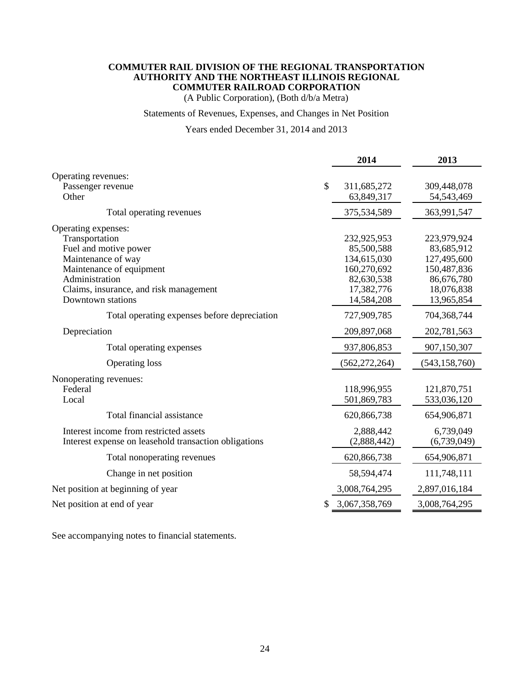(A Public Corporation), (Both d/b/a Metra)

## Statements of Revenues, Expenses, and Changes in Net Position

## Years ended December 31, 2014 and 2013

|                                                                                                                                                                                                   |              | 2014                                                                                              | 2013                                                                                              |
|---------------------------------------------------------------------------------------------------------------------------------------------------------------------------------------------------|--------------|---------------------------------------------------------------------------------------------------|---------------------------------------------------------------------------------------------------|
| Operating revenues:<br>Passenger revenue<br>Other                                                                                                                                                 | $\mathbb{S}$ | 311,685,272<br>63,849,317                                                                         | 309,448,078<br>54, 543, 469                                                                       |
| Total operating revenues                                                                                                                                                                          |              | 375,534,589                                                                                       | 363,991,547                                                                                       |
| Operating expenses:<br>Transportation<br>Fuel and motive power<br>Maintenance of way<br>Maintenance of equipment<br>Administration<br>Claims, insurance, and risk management<br>Downtown stations |              | 232,925,953<br>85,500,588<br>134,615,030<br>160,270,692<br>82,630,538<br>17,382,776<br>14,584,208 | 223,979,924<br>83,685,912<br>127,495,600<br>150,487,836<br>86,676,780<br>18,076,838<br>13,965,854 |
| Total operating expenses before depreciation                                                                                                                                                      |              | 727,909,785                                                                                       | 704,368,744                                                                                       |
| Depreciation                                                                                                                                                                                      |              | 209,897,068                                                                                       | 202,781,563                                                                                       |
| Total operating expenses                                                                                                                                                                          |              | 937,806,853                                                                                       | 907,150,307                                                                                       |
| <b>Operating loss</b>                                                                                                                                                                             |              | (562, 272, 264)                                                                                   | (543, 158, 760)                                                                                   |
| Nonoperating revenues:<br>Federal<br>Local                                                                                                                                                        |              | 118,996,955<br>501,869,783                                                                        | 121,870,751<br>533,036,120                                                                        |
| Total financial assistance                                                                                                                                                                        |              | 620,866,738                                                                                       | 654,906,871                                                                                       |
| Interest income from restricted assets<br>Interest expense on leasehold transaction obligations                                                                                                   |              | 2,888,442<br>(2,888,442)                                                                          | 6,739,049<br>(6,739,049)                                                                          |
| Total nonoperating revenues                                                                                                                                                                       |              | 620,866,738                                                                                       | 654,906,871                                                                                       |
| Change in net position                                                                                                                                                                            |              | 58,594,474                                                                                        | 111,748,111                                                                                       |
| Net position at beginning of year                                                                                                                                                                 |              | 3,008,764,295                                                                                     | 2,897,016,184                                                                                     |
| Net position at end of year                                                                                                                                                                       |              | 3,067,358,769                                                                                     | 3,008,764,295                                                                                     |

See accompanying notes to financial statements.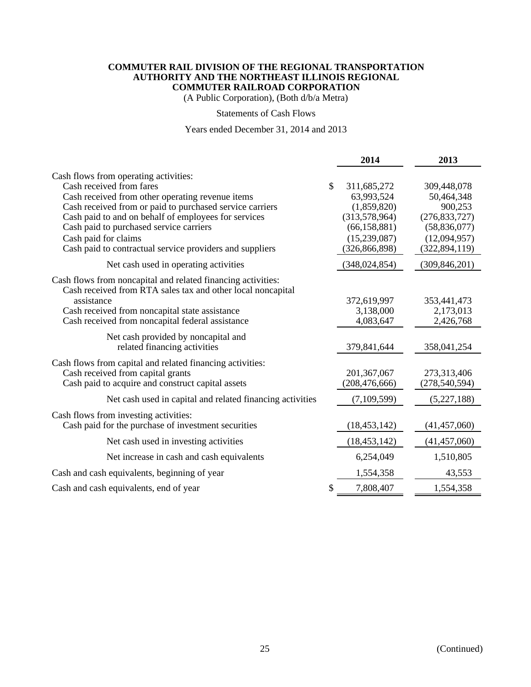(A Public Corporation), (Both d/b/a Metra)

#### Statements of Cash Flows

## Years ended December 31, 2014 and 2013

|                                                                                                                                                                                                                                                                                                                                                                          |    | 2014                                                                                                           | 2013                                                                                                         |
|--------------------------------------------------------------------------------------------------------------------------------------------------------------------------------------------------------------------------------------------------------------------------------------------------------------------------------------------------------------------------|----|----------------------------------------------------------------------------------------------------------------|--------------------------------------------------------------------------------------------------------------|
| Cash flows from operating activities:<br>Cash received from fares<br>Cash received from other operating revenue items<br>Cash received from or paid to purchased service carriers<br>Cash paid to and on behalf of employees for services<br>Cash paid to purchased service carriers<br>Cash paid for claims<br>Cash paid to contractual service providers and suppliers | \$ | 311,685,272<br>63,993,524<br>(1,859,820)<br>(313,578,964)<br>(66, 158, 881)<br>(15,239,087)<br>(326, 866, 898) | 309,448,078<br>50,464,348<br>900,253<br>(276, 833, 727)<br>(58, 836, 077)<br>(12,094,957)<br>(322, 894, 119) |
| Net cash used in operating activities                                                                                                                                                                                                                                                                                                                                    |    | (348, 024, 854)                                                                                                | (309, 846, 201)                                                                                              |
| Cash flows from noncapital and related financing activities:<br>Cash received from RTA sales tax and other local noncapital<br>assistance<br>Cash received from noncapital state assistance<br>Cash received from noncapital federal assistance                                                                                                                          |    | 372,619,997<br>3,138,000<br>4,083,647                                                                          | 353,441,473<br>2,173,013<br>2,426,768                                                                        |
| Net cash provided by noncapital and<br>related financing activities                                                                                                                                                                                                                                                                                                      |    | 379,841,644                                                                                                    | 358,041,254                                                                                                  |
| Cash flows from capital and related financing activities:<br>Cash received from capital grants<br>Cash paid to acquire and construct capital assets                                                                                                                                                                                                                      |    | 201, 367, 067<br>(208, 476, 666)                                                                               | 273,313,406<br>(278, 540, 594)                                                                               |
| Net cash used in capital and related financing activities                                                                                                                                                                                                                                                                                                                |    | (7,109,599)                                                                                                    | (5,227,188)                                                                                                  |
| Cash flows from investing activities:<br>Cash paid for the purchase of investment securities                                                                                                                                                                                                                                                                             |    | (18, 453, 142)                                                                                                 | (41, 457, 060)                                                                                               |
| Net cash used in investing activities                                                                                                                                                                                                                                                                                                                                    |    | (18, 453, 142)                                                                                                 | (41, 457, 060)                                                                                               |
| Net increase in cash and cash equivalents                                                                                                                                                                                                                                                                                                                                |    | 6,254,049                                                                                                      | 1,510,805                                                                                                    |
| Cash and cash equivalents, beginning of year                                                                                                                                                                                                                                                                                                                             |    | 1,554,358                                                                                                      | 43,553                                                                                                       |
| Cash and cash equivalents, end of year                                                                                                                                                                                                                                                                                                                                   | S  | 7,808,407                                                                                                      | 1,554,358                                                                                                    |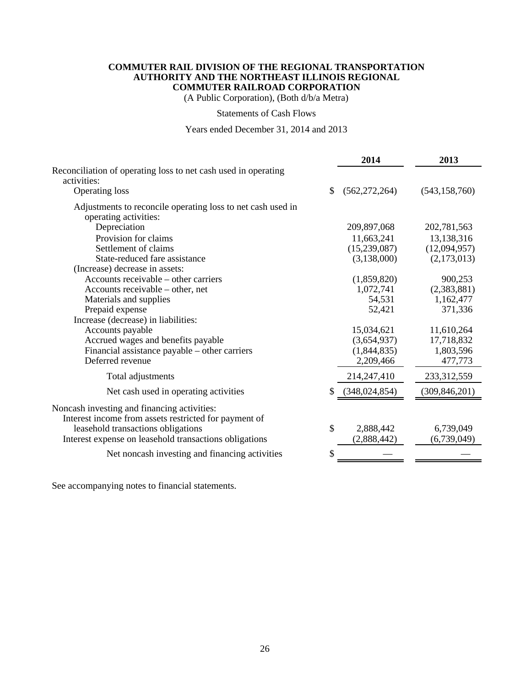(A Public Corporation), (Both d/b/a Metra)

## Statements of Cash Flows

## Years ended December 31, 2014 and 2013

|                                                                |    | 2014            | 2013            |
|----------------------------------------------------------------|----|-----------------|-----------------|
| Reconciliation of operating loss to net cash used in operating |    |                 |                 |
| activities:                                                    |    |                 |                 |
| <b>Operating loss</b>                                          | S  | (562, 272, 264) | (543, 158, 760) |
| Adjustments to reconcile operating loss to net cash used in    |    |                 |                 |
| operating activities:                                          |    |                 |                 |
| Depreciation                                                   |    | 209,897,068     | 202,781,563     |
| Provision for claims                                           |    | 11,663,241      | 13,138,316      |
| Settlement of claims                                           |    | (15,239,087)    | (12,094,957)    |
| State-reduced fare assistance                                  |    | (3,138,000)     | (2,173,013)     |
| (Increase) decrease in assets:                                 |    |                 |                 |
| Accounts receivable – other carriers                           |    | (1,859,820)     | 900,253         |
| Accounts receivable – other, net                               |    | 1,072,741       | (2,383,881)     |
| Materials and supplies                                         |    | 54,531          | 1,162,477       |
| Prepaid expense                                                |    | 52,421          | 371,336         |
| Increase (decrease) in liabilities:                            |    |                 |                 |
| Accounts payable                                               |    | 15,034,621      | 11,610,264      |
| Accrued wages and benefits payable                             |    | (3,654,937)     | 17,718,832      |
| Financial assistance payable - other carriers                  |    | (1,844,835)     | 1,803,596       |
| Deferred revenue                                               |    | 2,209,466       | 477,773         |
| Total adjustments                                              |    | 214,247,410     | 233,312,559     |
| Net cash used in operating activities                          | S  | (348, 024, 854) | (309, 846, 201) |
| Noncash investing and financing activities:                    |    |                 |                 |
| Interest income from assets restricted for payment of          |    |                 |                 |
| leasehold transactions obligations                             | \$ | 2,888,442       | 6,739,049       |
| Interest expense on leasehold transactions obligations         |    | (2,888,442)     | (6,739,049)     |
| Net noncash investing and financing activities                 | \$ |                 |                 |
|                                                                |    |                 |                 |

See accompanying notes to financial statements.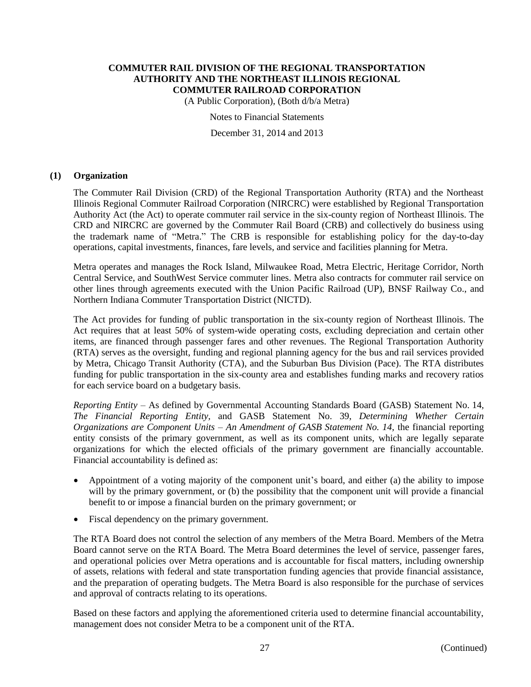(A Public Corporation), (Both d/b/a Metra)

Notes to Financial Statements

December 31, 2014 and 2013

## **(1) Organization**

The Commuter Rail Division (CRD) of the Regional Transportation Authority (RTA) and the Northeast Illinois Regional Commuter Railroad Corporation (NIRCRC) were established by Regional Transportation Authority Act (the Act) to operate commuter rail service in the six-county region of Northeast Illinois. The CRD and NIRCRC are governed by the Commuter Rail Board (CRB) and collectively do business using the trademark name of "Metra." The CRB is responsible for establishing policy for the day-to-day operations, capital investments, finances, fare levels, and service and facilities planning for Metra.

Metra operates and manages the Rock Island, Milwaukee Road, Metra Electric, Heritage Corridor, North Central Service, and SouthWest Service commuter lines. Metra also contracts for commuter rail service on other lines through agreements executed with the Union Pacific Railroad (UP), BNSF Railway Co., and Northern Indiana Commuter Transportation District (NICTD).

The Act provides for funding of public transportation in the six-county region of Northeast Illinois. The Act requires that at least 50% of system-wide operating costs, excluding depreciation and certain other items, are financed through passenger fares and other revenues. The Regional Transportation Authority (RTA) serves as the oversight, funding and regional planning agency for the bus and rail services provided by Metra, Chicago Transit Authority (CTA), and the Suburban Bus Division (Pace). The RTA distributes funding for public transportation in the six-county area and establishes funding marks and recovery ratios for each service board on a budgetary basis.

*Reporting Entity* – As defined by Governmental Accounting Standards Board (GASB) Statement No. 14, *The Financial Reporting Entity,* and GASB Statement No. 39, *Determining Whether Certain Organizations are Component Units – An Amendment of GASB Statement No. 14*, the financial reporting entity consists of the primary government, as well as its component units, which are legally separate organizations for which the elected officials of the primary government are financially accountable. Financial accountability is defined as:

- Appointment of a voting majority of the component unit's board, and either (a) the ability to impose will by the primary government, or (b) the possibility that the component unit will provide a financial benefit to or impose a financial burden on the primary government; or
- Fiscal dependency on the primary government.

The RTA Board does not control the selection of any members of the Metra Board. Members of the Metra Board cannot serve on the RTA Board. The Metra Board determines the level of service, passenger fares, and operational policies over Metra operations and is accountable for fiscal matters, including ownership of assets, relations with federal and state transportation funding agencies that provide financial assistance, and the preparation of operating budgets. The Metra Board is also responsible for the purchase of services and approval of contracts relating to its operations.

Based on these factors and applying the aforementioned criteria used to determine financial accountability, management does not consider Metra to be a component unit of the RTA.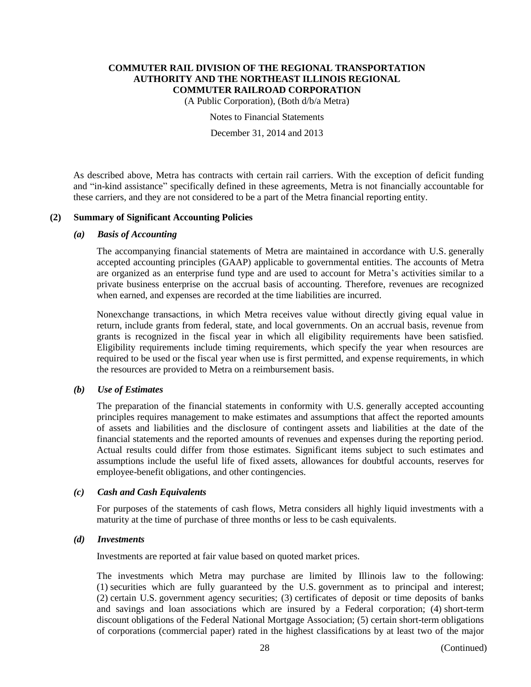(A Public Corporation), (Both d/b/a Metra)

Notes to Financial Statements

December 31, 2014 and 2013

As described above, Metra has contracts with certain rail carriers. With the exception of deficit funding and "in-kind assistance" specifically defined in these agreements, Metra is not financially accountable for these carriers, and they are not considered to be a part of the Metra financial reporting entity.

## **(2) Summary of Significant Accounting Policies**

#### *(a) Basis of Accounting*

The accompanying financial statements of Metra are maintained in accordance with U.S. generally accepted accounting principles (GAAP) applicable to governmental entities. The accounts of Metra are organized as an enterprise fund type and are used to account for Metra's activities similar to a private business enterprise on the accrual basis of accounting. Therefore, revenues are recognized when earned, and expenses are recorded at the time liabilities are incurred.

Nonexchange transactions, in which Metra receives value without directly giving equal value in return, include grants from federal, state, and local governments. On an accrual basis, revenue from grants is recognized in the fiscal year in which all eligibility requirements have been satisfied. Eligibility requirements include timing requirements, which specify the year when resources are required to be used or the fiscal year when use is first permitted, and expense requirements, in which the resources are provided to Metra on a reimbursement basis.

#### *(b) Use of Estimates*

The preparation of the financial statements in conformity with U.S. generally accepted accounting principles requires management to make estimates and assumptions that affect the reported amounts of assets and liabilities and the disclosure of contingent assets and liabilities at the date of the financial statements and the reported amounts of revenues and expenses during the reporting period. Actual results could differ from those estimates. Significant items subject to such estimates and assumptions include the useful life of fixed assets, allowances for doubtful accounts, reserves for employee-benefit obligations, and other contingencies.

#### *(c) Cash and Cash Equivalents*

For purposes of the statements of cash flows, Metra considers all highly liquid investments with a maturity at the time of purchase of three months or less to be cash equivalents.

#### *(d) Investments*

Investments are reported at fair value based on quoted market prices.

The investments which Metra may purchase are limited by Illinois law to the following: (1) securities which are fully guaranteed by the U.S. government as to principal and interest; (2) certain U.S. government agency securities; (3) certificates of deposit or time deposits of banks and savings and loan associations which are insured by a Federal corporation; (4) short-term discount obligations of the Federal National Mortgage Association; (5) certain short-term obligations of corporations (commercial paper) rated in the highest classifications by at least two of the major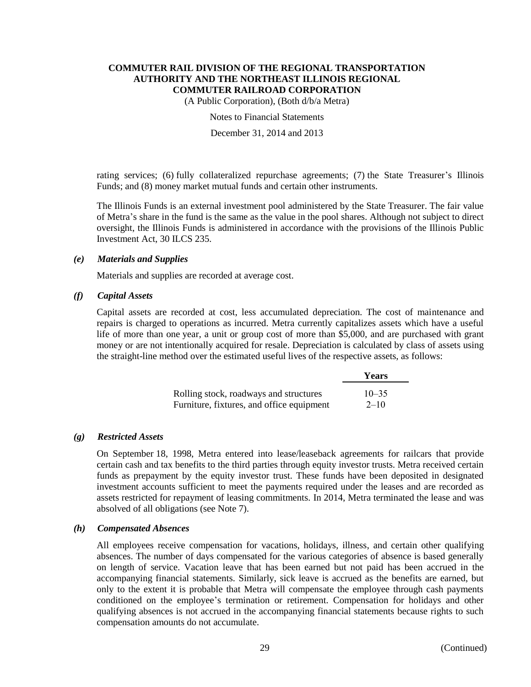(A Public Corporation), (Both d/b/a Metra)

Notes to Financial Statements

December 31, 2014 and 2013

rating services; (6) fully collateralized repurchase agreements; (7) the State Treasurer's Illinois Funds; and (8) money market mutual funds and certain other instruments.

The Illinois Funds is an external investment pool administered by the State Treasurer. The fair value of Metra's share in the fund is the same as the value in the pool shares. Although not subject to direct oversight, the Illinois Funds is administered in accordance with the provisions of the Illinois Public Investment Act, 30 ILCS 235.

## *(e) Materials and Supplies*

Materials and supplies are recorded at average cost.

## *(f) Capital Assets*

Capital assets are recorded at cost, less accumulated depreciation. The cost of maintenance and repairs is charged to operations as incurred. Metra currently capitalizes assets which have a useful life of more than one year, a unit or group cost of more than \$5,000, and are purchased with grant money or are not intentionally acquired for resale. Depreciation is calculated by class of assets using the straight-line method over the estimated useful lives of the respective assets, as follows:

|                                           | Years     |
|-------------------------------------------|-----------|
| Rolling stock, roadways and structures    | $10 - 35$ |
| Furniture, fixtures, and office equipment | $2 - 10$  |

## *(g) Restricted Assets*

On September 18, 1998, Metra entered into lease/leaseback agreements for railcars that provide certain cash and tax benefits to the third parties through equity investor trusts. Metra received certain funds as prepayment by the equity investor trust. These funds have been deposited in designated investment accounts sufficient to meet the payments required under the leases and are recorded as assets restricted for repayment of leasing commitments. In 2014, Metra terminated the lease and was absolved of all obligations (see Note 7).

#### *(h) Compensated Absences*

All employees receive compensation for vacations, holidays, illness, and certain other qualifying absences. The number of days compensated for the various categories of absence is based generally on length of service. Vacation leave that has been earned but not paid has been accrued in the accompanying financial statements. Similarly, sick leave is accrued as the benefits are earned, but only to the extent it is probable that Metra will compensate the employee through cash payments conditioned on the employee's termination or retirement. Compensation for holidays and other qualifying absences is not accrued in the accompanying financial statements because rights to such compensation amounts do not accumulate.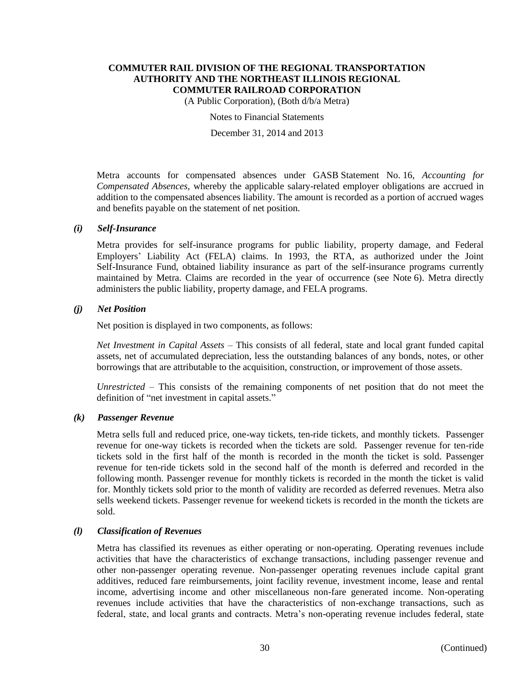(A Public Corporation), (Both d/b/a Metra)

Notes to Financial Statements

December 31, 2014 and 2013

Metra accounts for compensated absences under GASB Statement No. 16, *Accounting for Compensated Absences,* whereby the applicable salary-related employer obligations are accrued in addition to the compensated absences liability. The amount is recorded as a portion of accrued wages and benefits payable on the statement of net position.

#### *(i) Self-Insurance*

Metra provides for self-insurance programs for public liability, property damage, and Federal Employers' Liability Act (FELA) claims. In 1993, the RTA, as authorized under the Joint Self-Insurance Fund, obtained liability insurance as part of the self-insurance programs currently maintained by Metra. Claims are recorded in the year of occurrence (see Note 6). Metra directly administers the public liability, property damage, and FELA programs.

## *(j) Net Position*

Net position is displayed in two components, as follows:

*Net Investment in Capital Assets* – This consists of all federal, state and local grant funded capital assets, net of accumulated depreciation, less the outstanding balances of any bonds, notes, or other borrowings that are attributable to the acquisition, construction, or improvement of those assets.

*Unrestricted* – This consists of the remaining components of net position that do not meet the definition of "net investment in capital assets."

## *(k) Passenger Revenue*

Metra sells full and reduced price, one-way tickets, ten-ride tickets, and monthly tickets. Passenger revenue for one-way tickets is recorded when the tickets are sold. Passenger revenue for ten-ride tickets sold in the first half of the month is recorded in the month the ticket is sold. Passenger revenue for ten-ride tickets sold in the second half of the month is deferred and recorded in the following month. Passenger revenue for monthly tickets is recorded in the month the ticket is valid for. Monthly tickets sold prior to the month of validity are recorded as deferred revenues. Metra also sells weekend tickets. Passenger revenue for weekend tickets is recorded in the month the tickets are sold.

#### *(l) Classification of Revenues*

Metra has classified its revenues as either operating or non-operating. Operating revenues include activities that have the characteristics of exchange transactions, including passenger revenue and other non-passenger operating revenue. Non-passenger operating revenues include capital grant additives, reduced fare reimbursements, joint facility revenue, investment income, lease and rental income, advertising income and other miscellaneous non-fare generated income. Non-operating revenues include activities that have the characteristics of non-exchange transactions, such as federal, state, and local grants and contracts. Metra's non-operating revenue includes federal, state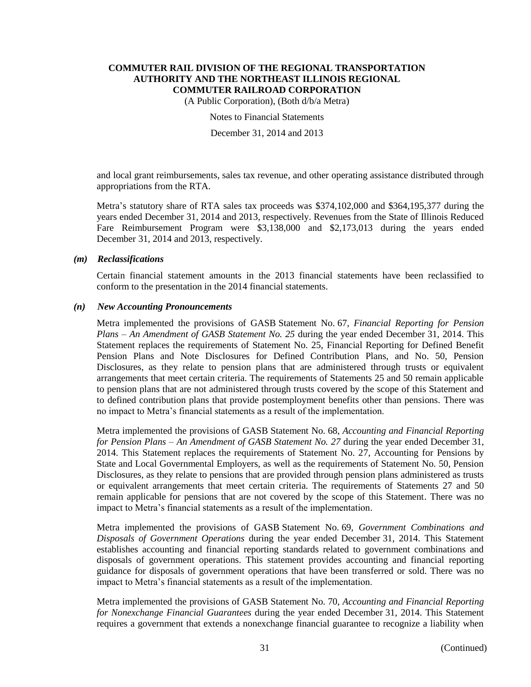(A Public Corporation), (Both d/b/a Metra)

Notes to Financial Statements

December 31, 2014 and 2013

and local grant reimbursements, sales tax revenue, and other operating assistance distributed through appropriations from the RTA.

Metra's statutory share of RTA sales tax proceeds was \$374,102,000 and \$364,195,377 during the years ended December 31, 2014 and 2013, respectively. Revenues from the State of Illinois Reduced Fare Reimbursement Program were \$3,138,000 and \$2,173,013 during the years ended December 31, 2014 and 2013, respectively.

#### *(m) Reclassifications*

Certain financial statement amounts in the 2013 financial statements have been reclassified to conform to the presentation in the 2014 financial statements.

#### *(n) New Accounting Pronouncements*

Metra implemented the provisions of GASB Statement No. 67, *Financial Reporting for Pension Plans – An Amendment of GASB Statement No. 25* during the year ended December 31, 2014. This Statement replaces the requirements of Statement No. 25, Financial Reporting for Defined Benefit Pension Plans and Note Disclosures for Defined Contribution Plans, and No. 50, Pension Disclosures, as they relate to pension plans that are administered through trusts or equivalent arrangements that meet certain criteria. The requirements of Statements 25 and 50 remain applicable to pension plans that are not administered through trusts covered by the scope of this Statement and to defined contribution plans that provide postemployment benefits other than pensions. There was no impact to Metra's financial statements as a result of the implementation.

Metra implemented the provisions of GASB Statement No. 68, *Accounting and Financial Reporting for Pension Plans – An Amendment of GASB Statement No. 27* during the year ended December 31, 2014. This Statement replaces the requirements of Statement No. 27, Accounting for Pensions by State and Local Governmental Employers, as well as the requirements of Statement No. 50, Pension Disclosures, as they relate to pensions that are provided through pension plans administered as trusts or equivalent arrangements that meet certain criteria. The requirements of Statements 27 and 50 remain applicable for pensions that are not covered by the scope of this Statement. There was no impact to Metra's financial statements as a result of the implementation.

Metra implemented the provisions of GASB Statement No. 69, *Government Combinations and Disposals of Government Operations* during the year ended December 31, 2014. This Statement establishes accounting and financial reporting standards related to government combinations and disposals of government operations. This statement provides accounting and financial reporting guidance for disposals of government operations that have been transferred or sold. There was no impact to Metra's financial statements as a result of the implementation.

Metra implemented the provisions of GASB Statement No. 70, *Accounting and Financial Reporting for Nonexchange Financial Guarantees* during the year ended December 31, 2014. This Statement requires a government that extends a nonexchange financial guarantee to recognize a liability when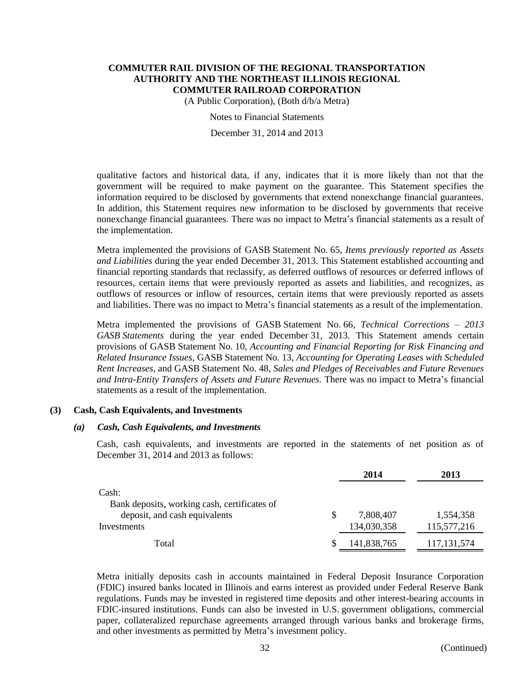(A Public Corporation), (Both d/b/a Metra)

Notes to Financial Statements

December 31, 2014 and 2013

qualitative factors and historical data, if any, indicates that it is more likely than not that the government will be required to make payment on the guarantee. This Statement specifies the information required to be disclosed by governments that extend nonexchange financial guarantees. In addition, this Statement requires new information to be disclosed by governments that receive nonexchange financial guarantees. There was no impact to Metra's financial statements as a result of the implementation.

Metra implemented the provisions of GASB Statement No. 65, *Items previously reported as Assets and Liabilities* during the year ended December 31, 2013. This Statement established accounting and financial reporting standards that reclassify, as deferred outflows of resources or deferred inflows of resources, certain items that were previously reported as assets and liabilities, and recognizes, as outflows of resources or inflow of resources, certain items that were previously reported as assets and liabilities. There was no impact to Metra's financial statements as a result of the implementation.

Metra implemented the provisions of GASB Statement No. 66, *Technical Corrections – 2013 GASB Statements* during the year ended December 31, 2013. This Statement amends certain provisions of GASB Statement No. 10, *Accounting and Financial Reporting for Risk Financing and Related Insurance Issues,* GASB Statement No. 13, *Accounting for Operating Leases with Scheduled Rent Increases,* and GASB Statement No. 48, *Sales and Pledges of Receivables and Future Revenues and Intra-Entity Transfers of Assets and Future Revenues.* There was no impact to Metra's financial statements as a result of the implementation.

#### **(3) Cash, Cash Equivalents, and Investments**

#### *(a) Cash, Cash Equivalents, and Investments*

Cash, cash equivalents, and investments are reported in the statements of net position as of December 31, 2014 and 2013 as follows:

|                                              |   | 2014        | 2013          |
|----------------------------------------------|---|-------------|---------------|
| Cash:                                        |   |             |               |
| Bank deposits, working cash, certificates of |   |             |               |
| deposit, and cash equivalents                | S | 7,808,407   | 1,554,358     |
| Investments                                  |   | 134,030,358 | 115,577,216   |
| Total                                        |   | 141,838,765 | 117, 131, 574 |
|                                              |   |             |               |

Metra initially deposits cash in accounts maintained in Federal Deposit Insurance Corporation (FDIC) insured banks located in Illinois and earns interest as provided under Federal Reserve Bank regulations. Funds may be invested in registered time deposits and other interest-bearing accounts in FDIC-insured institutions. Funds can also be invested in U.S. government obligations, commercial paper, collateralized repurchase agreements arranged through various banks and brokerage firms, and other investments as permitted by Metra's investment policy.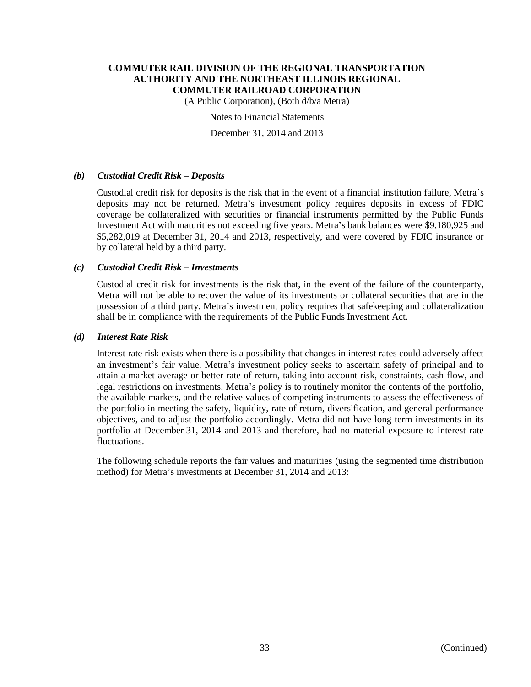(A Public Corporation), (Both d/b/a Metra)

Notes to Financial Statements

December 31, 2014 and 2013

## *(b) Custodial Credit Risk – Deposits*

Custodial credit risk for deposits is the risk that in the event of a financial institution failure, Metra's deposits may not be returned. Metra's investment policy requires deposits in excess of FDIC coverage be collateralized with securities or financial instruments permitted by the Public Funds Investment Act with maturities not exceeding five years. Metra's bank balances were \$9,180,925 and \$5,282,019 at December 31, 2014 and 2013, respectively, and were covered by FDIC insurance or by collateral held by a third party.

## *(c) Custodial Credit Risk – Investments*

Custodial credit risk for investments is the risk that, in the event of the failure of the counterparty, Metra will not be able to recover the value of its investments or collateral securities that are in the possession of a third party. Metra's investment policy requires that safekeeping and collateralization shall be in compliance with the requirements of the Public Funds Investment Act.

#### *(d) Interest Rate Risk*

Interest rate risk exists when there is a possibility that changes in interest rates could adversely affect an investment's fair value. Metra's investment policy seeks to ascertain safety of principal and to attain a market average or better rate of return, taking into account risk, constraints, cash flow, and legal restrictions on investments. Metra's policy is to routinely monitor the contents of the portfolio, the available markets, and the relative values of competing instruments to assess the effectiveness of the portfolio in meeting the safety, liquidity, rate of return, diversification, and general performance objectives, and to adjust the portfolio accordingly. Metra did not have long-term investments in its portfolio at December 31, 2014 and 2013 and therefore, had no material exposure to interest rate fluctuations.

The following schedule reports the fair values and maturities (using the segmented time distribution method) for Metra's investments at December 31, 2014 and 2013: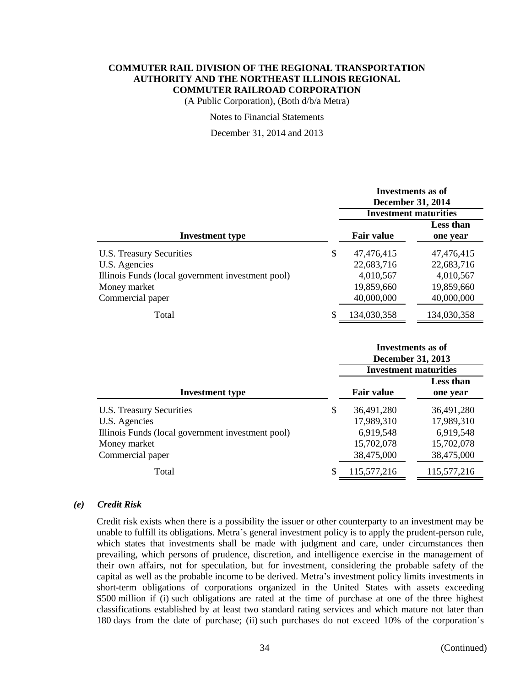(A Public Corporation), (Both d/b/a Metra)

Notes to Financial Statements

December 31, 2014 and 2013

| Investments as of<br><b>December 31, 2014</b><br><b>Investment maturities</b> |                              |  |
|-------------------------------------------------------------------------------|------------------------------|--|
| <b>Fair value</b>                                                             | <b>Less than</b><br>one year |  |
| \$<br>47,476,415                                                              | 47,476,415                   |  |
| 22,683,716                                                                    | 22,683,716                   |  |
| 4,010,567                                                                     | 4,010,567                    |  |
| 19,859,660                                                                    | 19,859,660                   |  |
| 40,000,000                                                                    | 40,000,000                   |  |
| \$<br>134,030,358                                                             | 134,030,358                  |  |
|                                                                               |                              |  |

|                                                   | Investments as of<br><b>December 31, 2013</b><br><b>Investment maturities</b> |                              |  |
|---------------------------------------------------|-------------------------------------------------------------------------------|------------------------------|--|
| <b>Investment type</b>                            | <b>Fair value</b>                                                             | <b>Less than</b><br>one year |  |
| U.S. Treasury Securities                          | \$<br>36,491,280                                                              | 36,491,280                   |  |
| U.S. Agencies                                     | 17,989,310                                                                    | 17,989,310                   |  |
| Illinois Funds (local government investment pool) | 6,919,548                                                                     | 6,919,548                    |  |
| Money market                                      | 15,702,078                                                                    | 15,702,078                   |  |
| Commercial paper                                  | 38,475,000                                                                    | 38,475,000                   |  |
| Total                                             | \$<br>115,577,216                                                             | 115,577,216                  |  |
|                                                   |                                                                               |                              |  |

#### *(e) Credit Risk*

Credit risk exists when there is a possibility the issuer or other counterparty to an investment may be unable to fulfill its obligations. Metra's general investment policy is to apply the prudent-person rule, which states that investments shall be made with judgment and care, under circumstances then prevailing, which persons of prudence, discretion, and intelligence exercise in the management of their own affairs, not for speculation, but for investment, considering the probable safety of the capital as well as the probable income to be derived. Metra's investment policy limits investments in short-term obligations of corporations organized in the United States with assets exceeding \$500 million if (i) such obligations are rated at the time of purchase at one of the three highest classifications established by at least two standard rating services and which mature not later than 180 days from the date of purchase; (ii) such purchases do not exceed 10% of the corporation's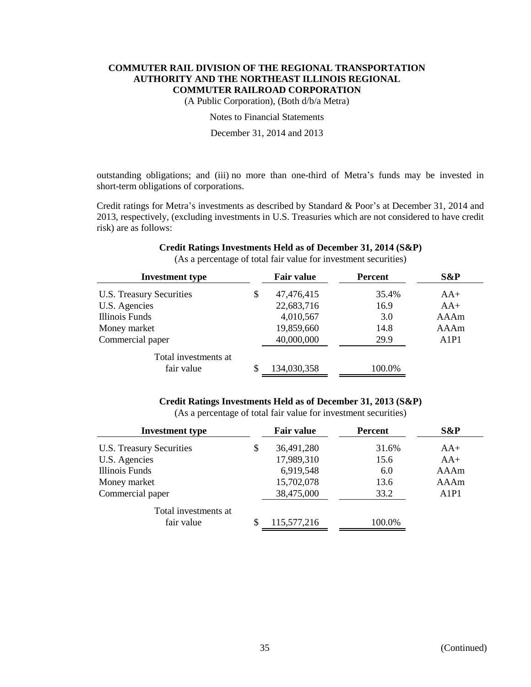(A Public Corporation), (Both d/b/a Metra)

Notes to Financial Statements

December 31, 2014 and 2013

outstanding obligations; and (iii) no more than one-third of Metra's funds may be invested in short-term obligations of corporations.

Credit ratings for Metra's investments as described by Standard & Poor's at December 31, 2014 and 2013, respectively, (excluding investments in U.S. Treasuries which are not considered to have credit risk) are as follows:

| <b>Investment type</b>   |    | <b>Fair value</b> | Percent | S&P                           |
|--------------------------|----|-------------------|---------|-------------------------------|
| U.S. Treasury Securities | \$ | 47,476,415        | 35.4%   | $AA+$                         |
| U.S. Agencies            |    | 22,683,716        | 16.9    | $AA+$                         |
| Illinois Funds           |    | 4,010,567         | 3.0     | AAAm                          |
| Money market             |    | 19,859,660        | 14.8    | AAAm                          |
| Commercial paper         |    | 40,000,000        | 29.9    | A <sub>1</sub> P <sub>1</sub> |
| Total investments at     |    |                   |         |                               |
| fair value               | S  | 134,030,358       | 100.0%  |                               |

# **Credit Ratings Investments Held as of December 31, 2014 (S&P)**

(As a percentage of total fair value for investment securities)

## **Credit Ratings Investments Held as of December 31, 2013 (S&P)**

(As a percentage of total fair value for investment securities)

| <b>Investment type</b>   |    | <b>Fair value</b> | <b>Percent</b> | S&P                           |
|--------------------------|----|-------------------|----------------|-------------------------------|
| U.S. Treasury Securities | \$ | 36,491,280        | 31.6%          | $AA+$                         |
| U.S. Agencies            |    | 17,989,310        | 15.6           | $AA+$                         |
| Illinois Funds           |    | 6,919,548         | 6.0            | AAAm                          |
| Money market             |    | 15,702,078        | 13.6           | AAAm                          |
| Commercial paper         |    | 38,475,000        | 33.2           | A <sub>1</sub> P <sub>1</sub> |
| Total investments at     |    |                   |                |                               |
| fair value               | S  | 115,577,216       | 100.0%         |                               |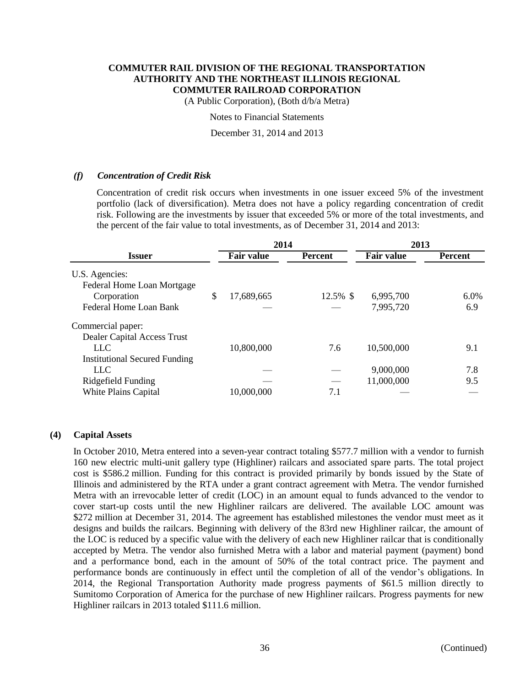(A Public Corporation), (Both d/b/a Metra)

Notes to Financial Statements

December 31, 2014 and 2013

## *(f) Concentration of Credit Risk*

Concentration of credit risk occurs when investments in one issuer exceed 5% of the investment portfolio (lack of diversification). Metra does not have a policy regarding concentration of credit risk. Following are the investments by issuer that exceeded 5% or more of the total investments, and the percent of the fair value to total investments, as of December 31, 2014 and 2013:

|                                                                             |    | 2014              |                | 2013                    |                |
|-----------------------------------------------------------------------------|----|-------------------|----------------|-------------------------|----------------|
| Issuer                                                                      |    | <b>Fair value</b> | <b>Percent</b> | <b>Fair value</b>       | <b>Percent</b> |
| U.S. Agencies:<br>Federal Home Loan Mortgage<br>Corporation                 | \$ | 17,689,665        | 12.5% \$       | 6,995,700               | $6.0\%$        |
| Federal Home Loan Bank                                                      |    |                   |                | 7,995,720               | 6.9            |
| Commercial paper:                                                           |    |                   |                |                         |                |
| Dealer Capital Access Trust<br>LLC.<br><b>Institutional Secured Funding</b> |    | 10,800,000        | 7.6            | 10,500,000              | 9.1            |
| LLC.<br>Ridgefield Funding                                                  |    |                   |                | 9,000,000<br>11,000,000 | 7.8<br>9.5     |
| White Plains Capital                                                        |    | 10,000,000        | 7.1            |                         |                |

## **(4) Capital Assets**

In October 2010, Metra entered into a seven-year contract totaling \$577.7 million with a vendor to furnish 160 new electric multi-unit gallery type (Highliner) railcars and associated spare parts. The total project cost is \$586.2 million. Funding for this contract is provided primarily by bonds issued by the State of Illinois and administered by the RTA under a grant contract agreement with Metra. The vendor furnished Metra with an irrevocable letter of credit (LOC) in an amount equal to funds advanced to the vendor to cover start-up costs until the new Highliner railcars are delivered. The available LOC amount was \$272 million at December 31, 2014. The agreement has established milestones the vendor must meet as it designs and builds the railcars. Beginning with delivery of the 83rd new Highliner railcar, the amount of the LOC is reduced by a specific value with the delivery of each new Highliner railcar that is conditionally accepted by Metra. The vendor also furnished Metra with a labor and material payment (payment) bond and a performance bond, each in the amount of 50% of the total contract price. The payment and performance bonds are continuously in effect until the completion of all of the vendor's obligations. In 2014, the Regional Transportation Authority made progress payments of \$61.5 million directly to Sumitomo Corporation of America for the purchase of new Highliner railcars. Progress payments for new Highliner railcars in 2013 totaled \$111.6 million.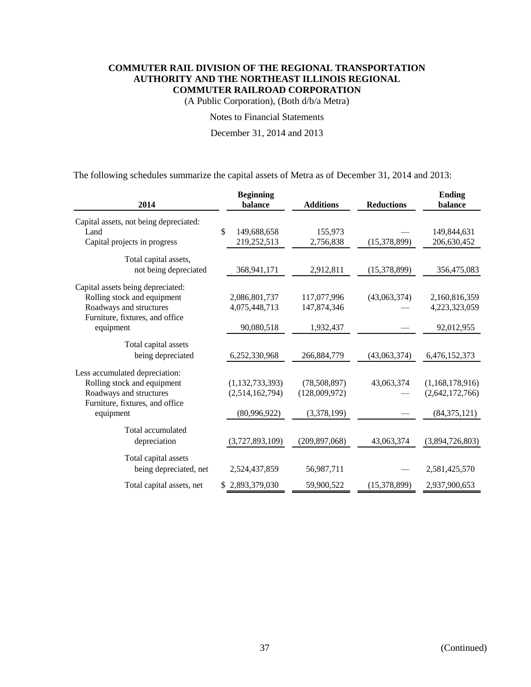(A Public Corporation), (Both d/b/a Metra)

Notes to Financial Statements

December 31, 2014 and 2013

The following schedules summarize the capital assets of Metra as of December 31, 2014 and 2013:

| 2014                                   | <b>Beginning</b><br>balance | <b>Additions</b> | <b>Reductions</b> | <b>Ending</b><br>balance |
|----------------------------------------|-----------------------------|------------------|-------------------|--------------------------|
| Capital assets, not being depreciated: |                             |                  |                   |                          |
| Land                                   | \$<br>149,688,658           | 155,973          |                   | 149,844,631              |
| Capital projects in progress           | 219,252,513                 | 2,756,838        | (15,378,899)      | 206,630,452              |
| Total capital assets,                  |                             |                  |                   |                          |
| not being depreciated                  | 368,941,171                 | 2,912,811        | (15,378,899)      | 356,475,083              |
| Capital assets being depreciated:      |                             |                  |                   |                          |
| Rolling stock and equipment            | 2,086,801,737               | 117,077,996      | (43,063,374)      | 2,160,816,359            |
| Roadways and structures                | 4,075,448,713               | 147,874,346      |                   | 4,223,323,059            |
| Furniture, fixtures, and office        |                             |                  |                   |                          |
| equipment                              | 90,080,518                  | 1,932,437        |                   | 92,012,955               |
| Total capital assets                   |                             |                  |                   |                          |
| being depreciated                      | 6,252,330,968               | 266,884,779      | (43,063,374)      | 6,476,152,373            |
| Less accumulated depreciation:         |                             |                  |                   |                          |
| Rolling stock and equipment            | (1, 132, 733, 393)          | (78,508,897)     | 43,063,374        | (1,168,178,916)          |
| Roadways and structures                | (2,514,162,794)             | (128,009,972)    |                   | (2,642,172,766)          |
| Furniture, fixtures, and office        |                             |                  |                   |                          |
| equipment                              | (80,996,922)                | (3,378,199)      |                   | (84, 375, 121)           |
| Total accumulated                      |                             |                  |                   |                          |
| depreciation                           | (3,727,893,109)             | (209, 897, 068)  | 43,063,374        | (3,894,726,803)          |
| Total capital assets                   |                             |                  |                   |                          |
| being depreciated, net                 | 2,524,437,859               | 56,987,711       |                   | 2,581,425,570            |
| Total capital assets, net              | \$2,893,379,030             | 59,900,522       | (15,378,899)      | 2,937,900,653            |
|                                        |                             |                  |                   |                          |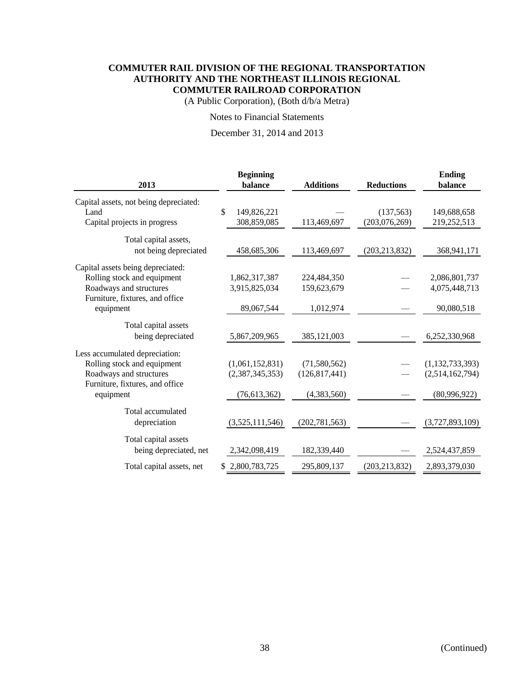(A Public Corporation), (Both d/b/a Metra)

## Notes to Financial Statements

December 31, 2014 and 2013

| 2013                                   | <b>Beginning</b><br>balance | <b>Additions</b> | <b>Reductions</b> | <b>Ending</b><br>balance |
|----------------------------------------|-----------------------------|------------------|-------------------|--------------------------|
| Capital assets, not being depreciated: |                             |                  |                   |                          |
| Land                                   | \$<br>149,826,221           |                  | (137, 563)        | 149,688,658              |
| Capital projects in progress           | 308,859,085                 | 113,469,697      | (203,076,269)     | 219,252,513              |
| Total capital assets,                  |                             |                  |                   |                          |
| not being depreciated                  | 458,685,306                 | 113,469,697      | (203, 213, 832)   | 368,941,171              |
| Capital assets being depreciated:      |                             |                  |                   |                          |
| Rolling stock and equipment            | 1,862,317,387               | 224,484,350      |                   | 2,086,801,737            |
| Roadways and structures                | 3,915,825,034               | 159,623,679      |                   | 4,075,448,713            |
| Furniture, fixtures, and office        |                             |                  |                   |                          |
| equipment                              | 89,067,544                  | 1,012,974        |                   | 90,080,518               |
| Total capital assets                   |                             |                  |                   |                          |
| being depreciated                      | 5,867,209,965               | 385,121,003      |                   | 6,252,330,968            |
| Less accumulated depreciation:         |                             |                  |                   |                          |
| Rolling stock and equipment            | (1,061,152,831)             | (71, 580, 562)   |                   | (1, 132, 733, 393)       |
| Roadways and structures                | (2,387,345,353)             | (126, 817, 441)  |                   | (2,514,162,794)          |
| Furniture, fixtures, and office        |                             |                  |                   |                          |
| equipment                              | (76, 613, 362)              | (4,383,560)      |                   | (80,996,922)             |
| Total accumulated                      |                             |                  |                   |                          |
| depreciation                           | (3,525,111,546)             | (202, 781, 563)  |                   | (3,727,893,109)          |
| Total capital assets                   |                             |                  |                   |                          |
| being depreciated, net                 | 2,342,098,419               | 182,339,440      |                   | 2,524,437,859            |
| Total capital assets, net              | \$2,800,783,725             | 295,809,137      | (203, 213, 832)   | 2,893,379,030            |
|                                        |                             |                  |                   |                          |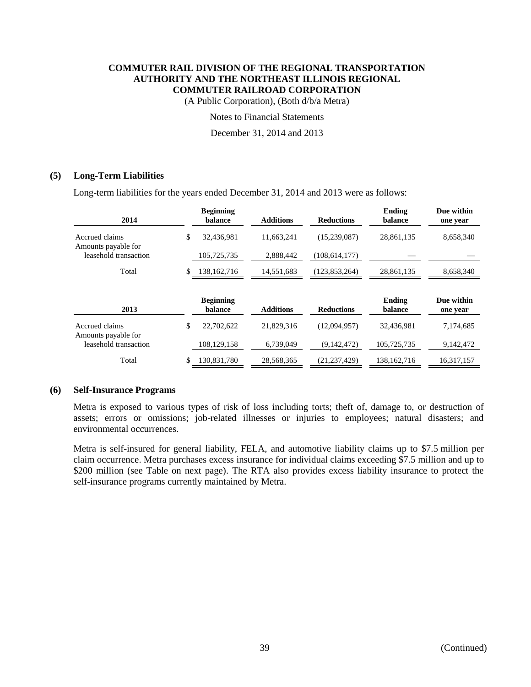(A Public Corporation), (Both d/b/a Metra)

Notes to Financial Statements

December 31, 2014 and 2013

## **(5) Long-Term Liabilities**

Long-term liabilities for the years ended December 31, 2014 and 2013 were as follows:

| <b>Beginning</b><br>balance | <b>Additions</b> | <b>Reductions</b> | Ending<br>balance | Due within<br>one year |
|-----------------------------|------------------|-------------------|-------------------|------------------------|
| \$<br>32,436,981            | 11,663,241       | (15,239,087)      | 28,861,135        | 8,658,340              |
| 105,725,735                 | 2,888,442        | (108, 614, 177)   |                   |                        |
| 138, 162, 716               | 14,551,683       | (123, 853, 264)   | 28,861,135        | 8,658,340              |
| <b>Beginning</b><br>balance | <b>Additions</b> | <b>Reductions</b> | Ending<br>balance | Due within<br>one year |
| \$<br>22,702,622            | 21,829,316       | (12,094,957)      | 32,436,981        | 7,174,685              |
|                             |                  |                   |                   |                        |
| 108,129,158                 | 6,739,049        | (9,142,472)       | 105,725,735       | 9,142,472              |
|                             |                  |                   |                   |                        |

#### **(6) Self-Insurance Programs**

Metra is exposed to various types of risk of loss including torts; theft of, damage to, or destruction of assets; errors or omissions; job-related illnesses or injuries to employees; natural disasters; and environmental occurrences.

Metra is self-insured for general liability, FELA, and automotive liability claims up to \$7.5 million per claim occurrence. Metra purchases excess insurance for individual claims exceeding \$7.5 million and up to \$200 million (see Table on next page). The RTA also provides excess liability insurance to protect the self-insurance programs currently maintained by Metra.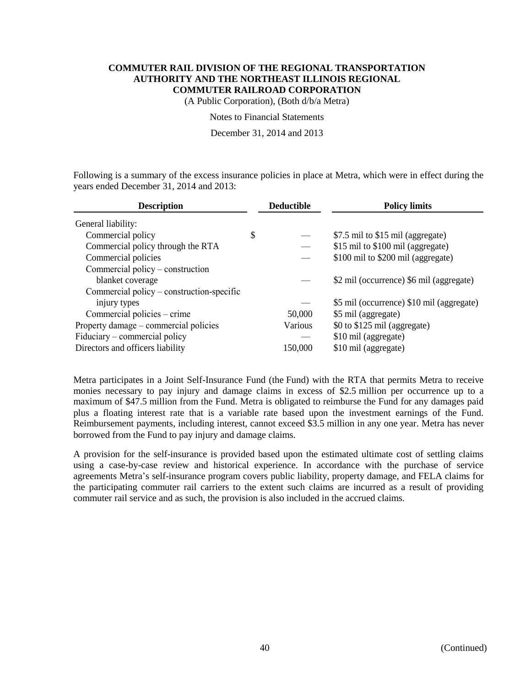(A Public Corporation), (Both d/b/a Metra)

Notes to Financial Statements

December 31, 2014 and 2013

Following is a summary of the excess insurance policies in place at Metra, which were in effect during the years ended December 31, 2014 and 2013:

| <b>Description</b>                        |    | <b>Deductible</b> | <b>Policy limits</b>                      |  |  |
|-------------------------------------------|----|-------------------|-------------------------------------------|--|--|
| General liability:                        |    |                   |                                           |  |  |
| Commercial policy                         | \$ |                   | \$7.5 mil to \$15 mil (aggregate)         |  |  |
| Commercial policy through the RTA         |    |                   | \$15 mil to \$100 mil (aggregate)         |  |  |
| Commercial policies                       |    |                   | \$100 mil to \$200 mil (aggregate)        |  |  |
| Commercial policy – construction          |    |                   |                                           |  |  |
| blanket coverage                          |    |                   | \$2 mil (occurrence) \$6 mil (aggregate)  |  |  |
| Commercial policy – construction-specific |    |                   |                                           |  |  |
| injury types                              |    |                   | \$5 mil (occurrence) \$10 mil (aggregate) |  |  |
| Commercial policies – crime               |    | 50,000            | \$5 mil (aggregate)                       |  |  |
| Property damage – commercial policies     |    | Various           | \$0 to \$125 mil (aggregate)              |  |  |
| Fiduciary – commercial policy             |    |                   | \$10 mil (aggregate)                      |  |  |
| Directors and officers liability          |    | 150,000           | \$10 mil (aggregate)                      |  |  |

Metra participates in a Joint Self-Insurance Fund (the Fund) with the RTA that permits Metra to receive monies necessary to pay injury and damage claims in excess of \$2.5 million per occurrence up to a maximum of \$47.5 million from the Fund. Metra is obligated to reimburse the Fund for any damages paid plus a floating interest rate that is a variable rate based upon the investment earnings of the Fund. Reimbursement payments, including interest, cannot exceed \$3.5 million in any one year. Metra has never borrowed from the Fund to pay injury and damage claims.

A provision for the self-insurance is provided based upon the estimated ultimate cost of settling claims using a case-by-case review and historical experience. In accordance with the purchase of service agreements Metra's self-insurance program covers public liability, property damage, and FELA claims for the participating commuter rail carriers to the extent such claims are incurred as a result of providing commuter rail service and as such, the provision is also included in the accrued claims.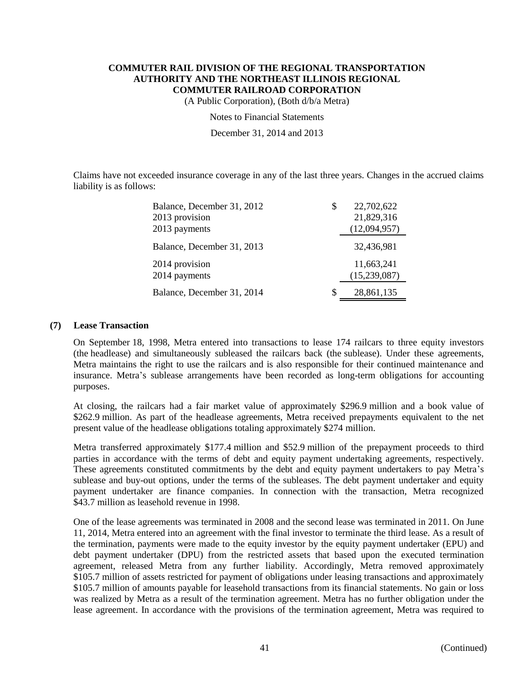(A Public Corporation), (Both d/b/a Metra)

Notes to Financial Statements

December 31, 2014 and 2013

Claims have not exceeded insurance coverage in any of the last three years. Changes in the accrued claims liability is as follows:

| Balance, December 31, 2012 | S | 22,702,622   |
|----------------------------|---|--------------|
| 2013 provision             |   | 21,829,316   |
| 2013 payments              |   | (12,094,957) |
| Balance, December 31, 2013 |   | 32,436,981   |
| 2014 provision             |   | 11,663,241   |
| 2014 payments              |   | (15,239,087) |
| Balance, December 31, 2014 | S | 28,861,135   |

#### **(7) Lease Transaction**

On September 18, 1998, Metra entered into transactions to lease 174 railcars to three equity investors (the headlease) and simultaneously subleased the railcars back (the sublease). Under these agreements, Metra maintains the right to use the railcars and is also responsible for their continued maintenance and insurance. Metra's sublease arrangements have been recorded as long-term obligations for accounting purposes.

At closing, the railcars had a fair market value of approximately \$296.9 million and a book value of \$262.9 million. As part of the headlease agreements, Metra received prepayments equivalent to the net present value of the headlease obligations totaling approximately \$274 million.

Metra transferred approximately \$177.4 million and \$52.9 million of the prepayment proceeds to third parties in accordance with the terms of debt and equity payment undertaking agreements, respectively. These agreements constituted commitments by the debt and equity payment undertakers to pay Metra's sublease and buy-out options, under the terms of the subleases. The debt payment undertaker and equity payment undertaker are finance companies. In connection with the transaction, Metra recognized \$43.7 million as leasehold revenue in 1998.

One of the lease agreements was terminated in 2008 and the second lease was terminated in 2011. On June 11, 2014, Metra entered into an agreement with the final investor to terminate the third lease. As a result of the termination, payments were made to the equity investor by the equity payment undertaker (EPU) and debt payment undertaker (DPU) from the restricted assets that based upon the executed termination agreement, released Metra from any further liability. Accordingly, Metra removed approximately \$105.7 million of assets restricted for payment of obligations under leasing transactions and approximately \$105.7 million of amounts payable for leasehold transactions from its financial statements. No gain or loss was realized by Metra as a result of the termination agreement. Metra has no further obligation under the lease agreement. In accordance with the provisions of the termination agreement, Metra was required to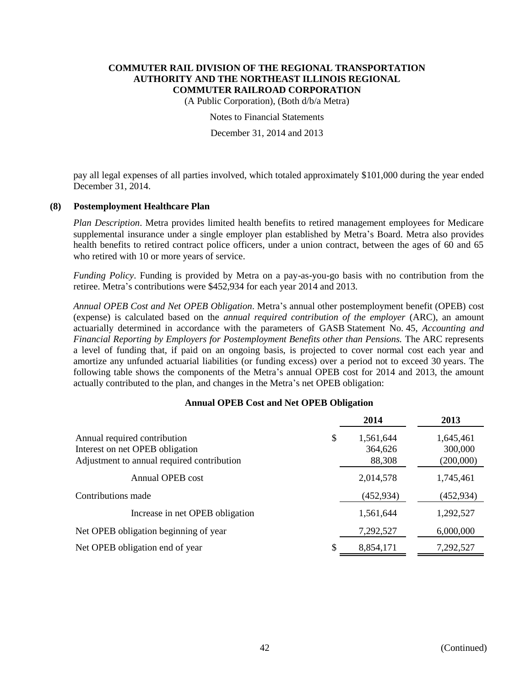(A Public Corporation), (Both d/b/a Metra)

Notes to Financial Statements

December 31, 2014 and 2013

pay all legal expenses of all parties involved, which totaled approximately \$101,000 during the year ended December 31, 2014.

## **(8) Postemployment Healthcare Plan**

*Plan Description*. Metra provides limited health benefits to retired management employees for Medicare supplemental insurance under a single employer plan established by Metra's Board. Metra also provides health benefits to retired contract police officers, under a union contract, between the ages of 60 and 65 who retired with 10 or more years of service.

*Funding Policy*. Funding is provided by Metra on a pay-as-you-go basis with no contribution from the retiree. Metra's contributions were \$452,934 for each year 2014 and 2013.

*Annual OPEB Cost and Net OPEB Obligation*. Metra's annual other postemployment benefit (OPEB) cost (expense) is calculated based on the *annual required contribution of the employer* (ARC), an amount actuarially determined in accordance with the parameters of GASB Statement No. 45, *Accounting and Financial Reporting by Employers for Postemployment Benefits other than Pensions.* The ARC represents a level of funding that, if paid on an ongoing basis, is projected to cover normal cost each year and amortize any unfunded actuarial liabilities (or funding excess) over a period not to exceed 30 years. The following table shows the components of the Metra's annual OPEB cost for 2014 and 2013, the amount actually contributed to the plan, and changes in the Metra's net OPEB obligation:

#### **Annual OPEB Cost and Net OPEB Obligation**

|                                            |   | 2014       | 2013      |
|--------------------------------------------|---|------------|-----------|
| Annual required contribution               | S | 1,561,644  | 1,645,461 |
| Interest on net OPEB obligation            |   | 364,626    | 300,000   |
| Adjustment to annual required contribution |   | 88,308     | (200,000) |
| Annual OPEB cost                           |   | 2,014,578  | 1,745,461 |
| Contributions made                         |   | (452, 934) | (452,934) |
| Increase in net OPEB obligation            |   | 1,561,644  | 1,292,527 |
| Net OPEB obligation beginning of year      |   | 7,292,527  | 6,000,000 |
| Net OPEB obligation end of year            |   | 8,854,171  | 7,292,527 |
|                                            |   |            |           |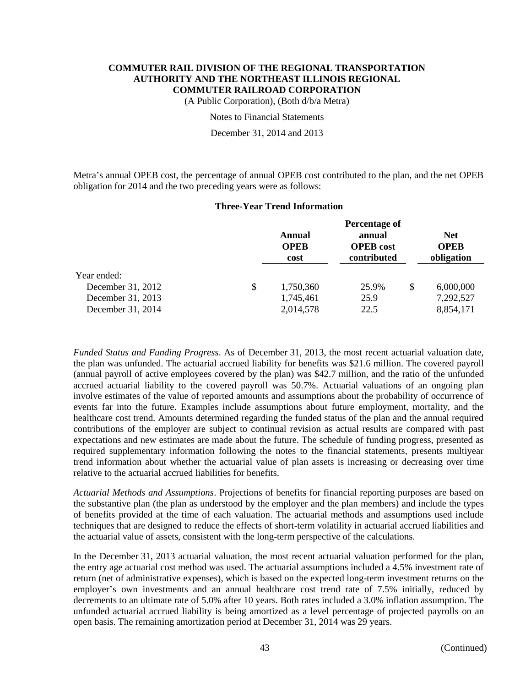(A Public Corporation), (Both d/b/a Metra)

Notes to Financial Statements

December 31, 2014 and 2013

Metra's annual OPEB cost, the percentage of annual OPEB cost contributed to the plan, and the net OPEB obligation for 2014 and the two preceding years were as follows:

## **Three-Year Trend Information**

|                   | Percentage of                 |                                           |    |                                         |  |
|-------------------|-------------------------------|-------------------------------------------|----|-----------------------------------------|--|
|                   | Annual<br><b>OPEB</b><br>cost | annual<br><b>OPEB</b> cost<br>contributed |    | <b>Net</b><br><b>OPEB</b><br>obligation |  |
| Year ended:       |                               |                                           |    |                                         |  |
| December 31, 2012 | \$<br>1,750,360               | 25.9%                                     | \$ | 6,000,000                               |  |
| December 31, 2013 | 1,745,461                     | 25.9                                      |    | 7,292,527                               |  |
| December 31, 2014 | 2,014,578                     | 22.5                                      |    | 8,854,171                               |  |

*Funded Status and Funding Progress*. As of December 31, 2013, the most recent actuarial valuation date, the plan was unfunded. The actuarial accrued liability for benefits was \$21.6 million. The covered payroll (annual payroll of active employees covered by the plan) was \$42.7 million, and the ratio of the unfunded accrued actuarial liability to the covered payroll was 50.7%. Actuarial valuations of an ongoing plan involve estimates of the value of reported amounts and assumptions about the probability of occurrence of events far into the future. Examples include assumptions about future employment, mortality, and the healthcare cost trend. Amounts determined regarding the funded status of the plan and the annual required contributions of the employer are subject to continual revision as actual results are compared with past expectations and new estimates are made about the future. The schedule of funding progress, presented as required supplementary information following the notes to the financial statements, presents multiyear trend information about whether the actuarial value of plan assets is increasing or decreasing over time relative to the actuarial accrued liabilities for benefits.

*Actuarial Methods and Assumptions*. Projections of benefits for financial reporting purposes are based on the substantive plan (the plan as understood by the employer and the plan members) and include the types of benefits provided at the time of each valuation. The actuarial methods and assumptions used include techniques that are designed to reduce the effects of short-term volatility in actuarial accrued liabilities and the actuarial value of assets, consistent with the long-term perspective of the calculations.

In the December 31, 2013 actuarial valuation, the most recent actuarial valuation performed for the plan, the entry age actuarial cost method was used. The actuarial assumptions included a 4.5% investment rate of return (net of administrative expenses), which is based on the expected long-term investment returns on the employer's own investments and an annual healthcare cost trend rate of 7.5% initially, reduced by decrements to an ultimate rate of 5.0% after 10 years. Both rates included a 3.0% inflation assumption. The unfunded actuarial accrued liability is being amortized as a level percentage of projected payrolls on an open basis. The remaining amortization period at December 31, 2014 was 29 years.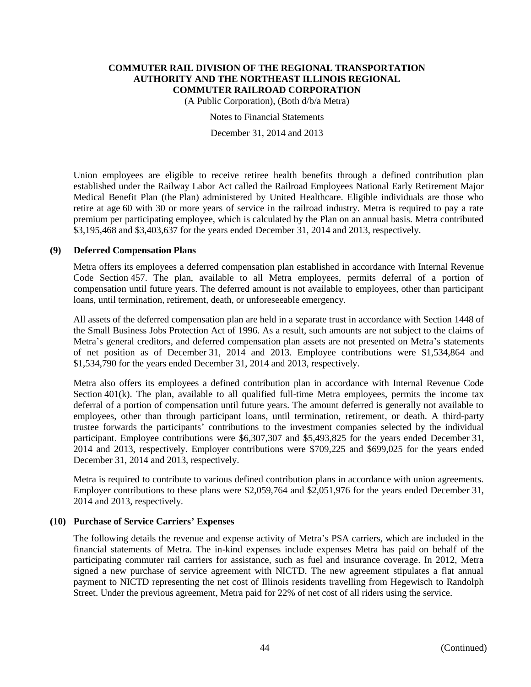(A Public Corporation), (Both d/b/a Metra)

Notes to Financial Statements

December 31, 2014 and 2013

Union employees are eligible to receive retiree health benefits through a defined contribution plan established under the Railway Labor Act called the Railroad Employees National Early Retirement Major Medical Benefit Plan (the Plan) administered by United Healthcare. Eligible individuals are those who retire at age 60 with 30 or more years of service in the railroad industry. Metra is required to pay a rate premium per participating employee, which is calculated by the Plan on an annual basis. Metra contributed \$3,195,468 and \$3,403,637 for the years ended December 31, 2014 and 2013, respectively.

#### **(9) Deferred Compensation Plans**

Metra offers its employees a deferred compensation plan established in accordance with Internal Revenue Code Section 457. The plan, available to all Metra employees, permits deferral of a portion of compensation until future years. The deferred amount is not available to employees, other than participant loans, until termination, retirement, death, or unforeseeable emergency.

All assets of the deferred compensation plan are held in a separate trust in accordance with Section 1448 of the Small Business Jobs Protection Act of 1996. As a result, such amounts are not subject to the claims of Metra's general creditors, and deferred compensation plan assets are not presented on Metra's statements of net position as of December 31, 2014 and 2013. Employee contributions were \$1,534,864 and \$1,534,790 for the years ended December 31, 2014 and 2013, respectively.

Metra also offers its employees a defined contribution plan in accordance with Internal Revenue Code Section 401(k). The plan, available to all qualified full-time Metra employees, permits the income tax deferral of a portion of compensation until future years. The amount deferred is generally not available to employees, other than through participant loans, until termination, retirement, or death. A third-party trustee forwards the participants' contributions to the investment companies selected by the individual participant. Employee contributions were \$6,307,307 and \$5,493,825 for the years ended December 31, 2014 and 2013, respectively. Employer contributions were \$709,225 and \$699,025 for the years ended December 31, 2014 and 2013, respectively.

Metra is required to contribute to various defined contribution plans in accordance with union agreements. Employer contributions to these plans were \$2,059,764 and \$2,051,976 for the years ended December 31, 2014 and 2013, respectively.

## **(10) Purchase of Service Carriers' Expenses**

The following details the revenue and expense activity of Metra's PSA carriers, which are included in the financial statements of Metra. The in-kind expenses include expenses Metra has paid on behalf of the participating commuter rail carriers for assistance, such as fuel and insurance coverage. In 2012, Metra signed a new purchase of service agreement with NICTD. The new agreement stipulates a flat annual payment to NICTD representing the net cost of Illinois residents travelling from Hegewisch to Randolph Street. Under the previous agreement, Metra paid for 22% of net cost of all riders using the service.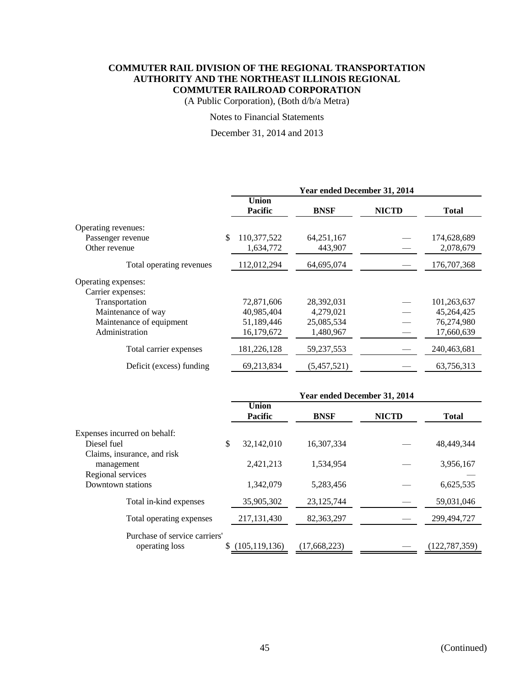(A Public Corporation), (Both d/b/a Metra)

## Notes to Financial Statements

#### December 31, 2014 and 2013

|                          | Year ended December 31, 2014   |             |              |              |  |  |
|--------------------------|--------------------------------|-------------|--------------|--------------|--|--|
|                          | <b>Union</b><br><b>Pacific</b> | <b>BNSF</b> | <b>NICTD</b> | <b>Total</b> |  |  |
| Operating revenues:      |                                |             |              |              |  |  |
| Passenger revenue        | \$<br>110,377,522              | 64,251,167  |              | 174,628,689  |  |  |
| Other revenue            | 1,634,772                      | 443,907     |              | 2,078,679    |  |  |
| Total operating revenues | 112,012,294                    | 64,695,074  |              | 176,707,368  |  |  |
| Operating expenses:      |                                |             |              |              |  |  |
| Carrier expenses:        |                                |             |              |              |  |  |
| Transportation           | 72,871,606                     | 28,392,031  |              | 101,263,637  |  |  |
| Maintenance of way       | 40,985,404                     | 4,279,021   |              | 45,264,425   |  |  |
| Maintenance of equipment | 51,189,446                     | 25,085,534  |              | 76,274,980   |  |  |
| Administration           | 16,179,672                     | 1,480,967   |              | 17,660,639   |  |  |
| Total carrier expenses   | 181,226,128                    | 59,237,553  |              | 240,463,681  |  |  |
| Deficit (excess) funding | 69,213,834                     | (5,457,521) |              | 63,756,313   |  |  |
|                          |                                |             |              |              |  |  |

|                                                                | Year ended December 31, 2014 |              |              |               |  |  |
|----------------------------------------------------------------|------------------------------|--------------|--------------|---------------|--|--|
|                                                                | Union<br><b>Pacific</b>      | <b>BNSF</b>  | <b>NICTD</b> | <b>Total</b>  |  |  |
| Expenses incurred on behalf:                                   |                              |              |              |               |  |  |
| Diesel fuel                                                    | \$<br>32,142,010             | 16,307,334   |              | 48,449,344    |  |  |
| Claims, insurance, and risk<br>management<br>Regional services | 2,421,213                    | 1.534.954    |              | 3,956,167     |  |  |
| Downtown stations                                              | 1,342,079                    | 5,283,456    |              | 6,625,535     |  |  |
| Total in-kind expenses                                         | 35,905,302                   | 23, 125, 744 |              | 59,031,046    |  |  |
| Total operating expenses                                       | 217, 131, 430                | 82,363,297   |              | 299,494,727   |  |  |
| Purchase of service carriers'<br>operating loss                | \$(105,119,136)              | (17.668.223) |              | (122.787.359) |  |  |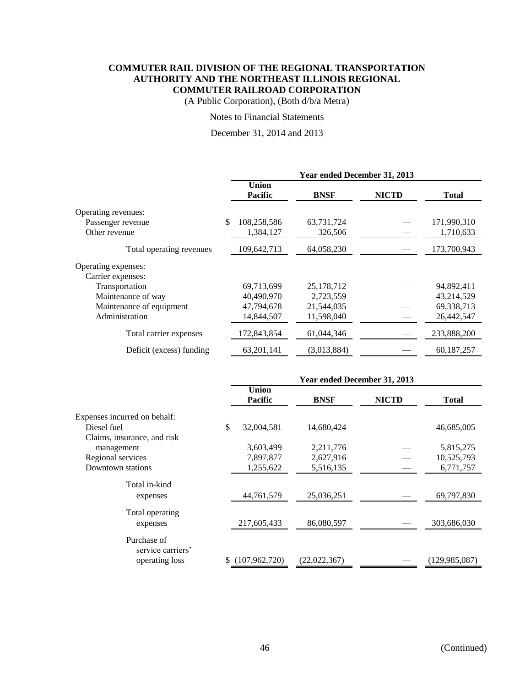(A Public Corporation), (Both d/b/a Metra)

## Notes to Financial Statements

December 31, 2014 and 2013

|                          | Year ended December 31, 2013   |              |              |              |  |
|--------------------------|--------------------------------|--------------|--------------|--------------|--|
|                          | <b>Union</b><br><b>Pacific</b> | <b>BNSF</b>  | <b>NICTD</b> | <b>Total</b> |  |
| Operating revenues:      |                                |              |              |              |  |
| Passenger revenue        | \$<br>108,258,586              | 63,731,724   |              | 171,990,310  |  |
| Other revenue            | 1,384,127                      | 326,506      |              | 1,710,633    |  |
| Total operating revenues | 109,642,713                    | 64,058,230   |              | 173,700,943  |  |
| Operating expenses:      |                                |              |              |              |  |
| Carrier expenses:        |                                |              |              |              |  |
| Transportation           | 69,713,699                     | 25, 178, 712 |              | 94,892,411   |  |
| Maintenance of way       | 40,490,970                     | 2,723,559    |              | 43,214,529   |  |
| Maintenance of equipment | 47,794,678                     | 21,544,035   |              | 69,338,713   |  |
| Administration           | 14,844,507                     | 11,598,040   |              | 26,442,547   |  |
| Total carrier expenses   | 172,843,854                    | 61,044,346   |              | 233,888,200  |  |
| Deficit (excess) funding | 63, 201, 141                   | (3,013,884)  |              | 60,187,257   |  |
|                          |                                |              |              |              |  |

|                                  | Year ended December 31, 2013   |              |              |                 |  |
|----------------------------------|--------------------------------|--------------|--------------|-----------------|--|
|                                  | <b>Union</b><br><b>Pacific</b> | <b>BNSF</b>  | <b>NICTD</b> | <b>Total</b>    |  |
| Expenses incurred on behalf:     |                                |              |              |                 |  |
| Diesel fuel                      | \$<br>32,004,581               | 14,680,424   |              | 46,685,005      |  |
| Claims, insurance, and risk      |                                |              |              |                 |  |
| management                       | 3,603,499                      | 2,211,776    |              | 5,815,275       |  |
| Regional services                | 7,897,877                      | 2,627,916    |              | 10,525,793      |  |
| Downtown stations                | 1,255,622                      | 5,516,135    |              | 6,771,757       |  |
| Total in-kind                    |                                |              |              |                 |  |
| expenses                         | 44,761,579                     | 25,036,251   |              | 69,797,830      |  |
|                                  |                                |              |              |                 |  |
| Total operating                  |                                |              |              |                 |  |
| expenses                         | 217,605,433                    | 86,080,597   |              | 303,686,030     |  |
| Purchase of<br>service carriers' |                                |              |              |                 |  |
| operating loss                   | (107, 962, 720)                | (22,022,367) |              | (129, 985, 087) |  |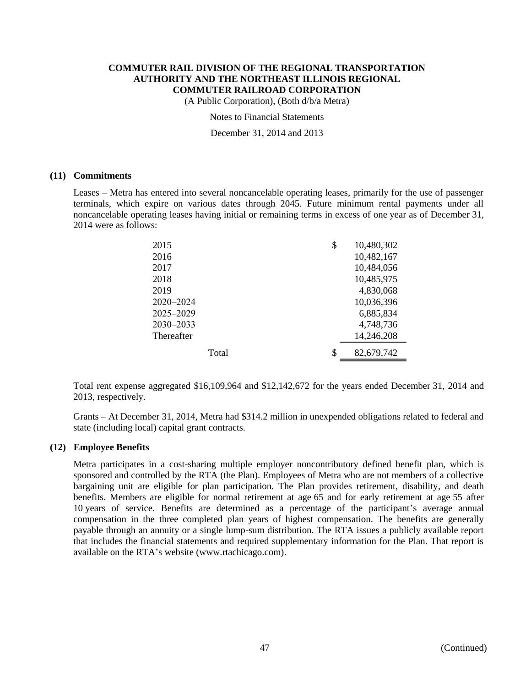(A Public Corporation), (Both d/b/a Metra)

Notes to Financial Statements

December 31, 2014 and 2013

#### **(11) Commitments**

Leases – Metra has entered into several noncancelable operating leases, primarily for the use of passenger terminals, which expire on various dates through 2045. Future minimum rental payments under all noncancelable operating leases having initial or remaining terms in excess of one year as of December 31, 2014 were as follows:

| 2015       | \$<br>10,480,302 |
|------------|------------------|
| 2016       | 10,482,167       |
| 2017       | 10,484,056       |
| 2018       | 10,485,975       |
| 2019       | 4,830,068        |
| 2020-2024  | 10,036,396       |
| 2025-2029  | 6,885,834        |
| 2030-2033  | 4,748,736        |
| Thereafter | 14,246,208       |
| Total      | \$<br>82,679,742 |
|            |                  |

Total rent expense aggregated \$16,109,964 and \$12,142,672 for the years ended December 31, 2014 and 2013, respectively.

Grants – At December 31, 2014, Metra had \$314.2 million in unexpended obligations related to federal and state (including local) capital grant contracts.

#### **(12) Employee Benefits**

Metra participates in a cost-sharing multiple employer noncontributory defined benefit plan, which is sponsored and controlled by the RTA (the Plan). Employees of Metra who are not members of a collective bargaining unit are eligible for plan participation. The Plan provides retirement, disability, and death benefits. Members are eligible for normal retirement at age 65 and for early retirement at age 55 after 10 years of service. Benefits are determined as a percentage of the participant's average annual compensation in the three completed plan years of highest compensation. The benefits are generally payable through an annuity or a single lump-sum distribution. The RTA issues a publicly available report that includes the financial statements and required supplementary information for the Plan. That report is available on the RTA's website (www.rtachicago.com).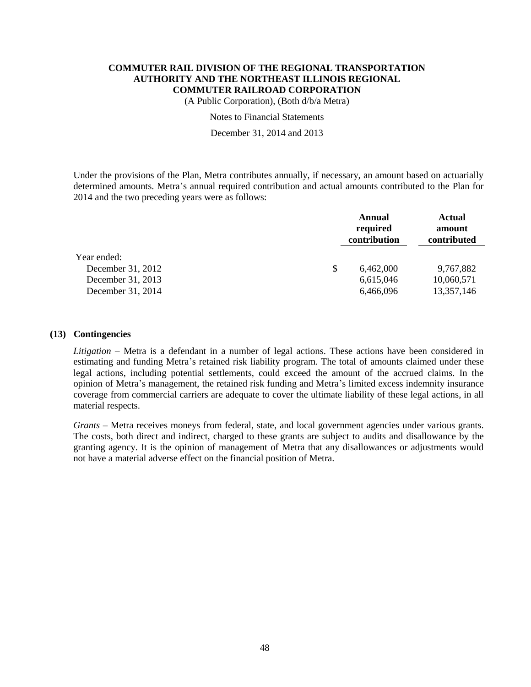(A Public Corporation), (Both d/b/a Metra)

Notes to Financial Statements

December 31, 2014 and 2013

Under the provisions of the Plan, Metra contributes annually, if necessary, an amount based on actuarially determined amounts. Metra's annual required contribution and actual amounts contributed to the Plan for 2014 and the two preceding years were as follows:

|                   | Annual<br>required<br>contribution |           | Actual<br>amount<br>contributed |  |
|-------------------|------------------------------------|-----------|---------------------------------|--|
| Year ended:       |                                    |           |                                 |  |
| December 31, 2012 | \$                                 | 6.462,000 | 9,767,882                       |  |
| December 31, 2013 |                                    | 6,615,046 | 10,060,571                      |  |
| December 31, 2014 |                                    | 6,466,096 | 13,357,146                      |  |

## **(13) Contingencies**

*Litigation* – Metra is a defendant in a number of legal actions. These actions have been considered in estimating and funding Metra's retained risk liability program. The total of amounts claimed under these legal actions, including potential settlements, could exceed the amount of the accrued claims. In the opinion of Metra's management, the retained risk funding and Metra's limited excess indemnity insurance coverage from commercial carriers are adequate to cover the ultimate liability of these legal actions, in all material respects.

*Grants* – Metra receives moneys from federal, state, and local government agencies under various grants. The costs, both direct and indirect, charged to these grants are subject to audits and disallowance by the granting agency. It is the opinion of management of Metra that any disallowances or adjustments would not have a material adverse effect on the financial position of Metra.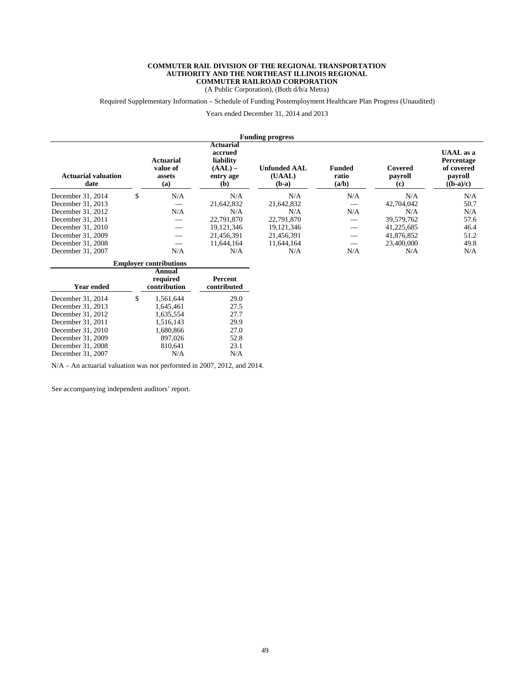(A Public Corporation), (Both d/b/a Metra)

Required Supplementary Information – Schedule of Funding Postemployment Healthcare Plan Progress (Unaudited)

Years ended December 31, 2014 and 2013

| <b>Funding progress</b>            |    |                                               |                                                                    |                                          |                                 |                                                   |                                                                 |  |
|------------------------------------|----|-----------------------------------------------|--------------------------------------------------------------------|------------------------------------------|---------------------------------|---------------------------------------------------|-----------------------------------------------------------------|--|
| <b>Actuarial valuation</b><br>date |    | <b>Actuarial</b><br>value of<br>assets<br>(a) | Actuarial<br>accrued<br>liability<br>$(AAL)$ –<br>entry age<br>(b) | <b>Unfunded AAL</b><br>(UAAL)<br>$(b-a)$ | <b>Funded</b><br>ratio<br>(a/b) | Covered<br>payroll<br>$\left( \mathbf{c} \right)$ | UAAL as a<br>Percentage<br>of covered<br>payroll<br>$((b-a)/c)$ |  |
| December 31, 2014                  | \$ | N/A                                           | N/A                                                                | N/A                                      | N/A                             | N/A                                               | N/A                                                             |  |
| December 31, 2013                  |    |                                               | 21.642.832                                                         | 21,642,832                               |                                 | 42,704,042                                        | 50.7                                                            |  |
| December 31, 2012                  |    | N/A                                           | N/A                                                                | N/A                                      | N/A                             | N/A                                               | N/A                                                             |  |
| December 31, 2011                  |    |                                               | 22,791,870                                                         | 22,791,870                               |                                 | 39.579.762                                        | 57.6                                                            |  |
| December 31, 2010                  |    |                                               | 19,121,346                                                         | 19, 121, 346                             |                                 | 41,225,685                                        | 46.4                                                            |  |
| December 31, 2009                  |    |                                               | 21.456.391                                                         | 21.456.391                               |                                 | 41.876.852                                        | 51.2                                                            |  |
| December 31, 2008                  |    |                                               | 11.644.164                                                         | 11.644.164                               |                                 | 23,400,000                                        | 49.8                                                            |  |
| December 31, 2007                  |    | N/A                                           | N/A                                                                | N/A                                      | N/A                             | N/A                                               | N/A                                                             |  |

| <b>Employer contributions</b> |    |                                    |                        |  |  |  |  |  |
|-------------------------------|----|------------------------------------|------------------------|--|--|--|--|--|
| Year ended                    |    | Annual<br>required<br>contribution | Percent<br>contributed |  |  |  |  |  |
| December 31, 2014             | \$ | 1,561,644                          | 29.0                   |  |  |  |  |  |
| December 31, 2013             |    | 1,645,461                          | 27.5                   |  |  |  |  |  |
| December 31, 2012             |    | 1.635.554                          | 27.7                   |  |  |  |  |  |
| December 31, 2011             |    | 1.516.143                          | 29.9                   |  |  |  |  |  |
| December 31, 2010             |    | 1,680,866                          | 27.0                   |  |  |  |  |  |
| December 31, 2009             |    | 897,026                            | 52.8                   |  |  |  |  |  |
| December 31, 2008             |    | 810,641                            | 23.1                   |  |  |  |  |  |
| December 31, 2007             |    | N/A                                | N/A                    |  |  |  |  |  |

N/A – An actuarial valuation was not performed in 2007, 2012, and 2014.

See accompanying independent auditors' report.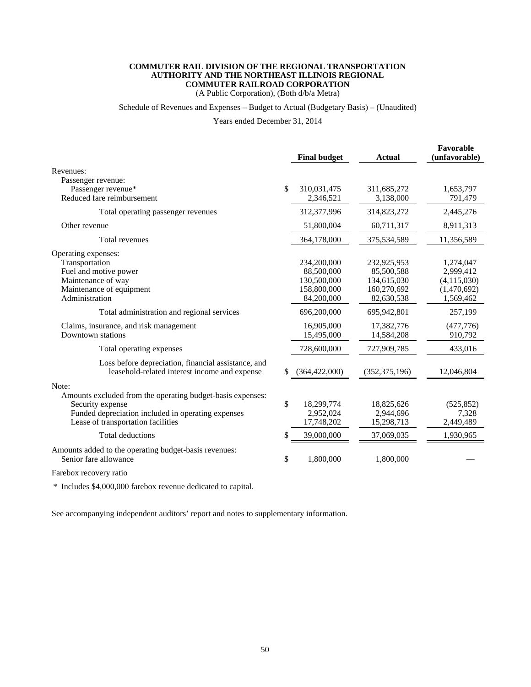(A Public Corporation), (Both d/b/a Metra)

#### Schedule of Revenues and Expenses – Budget to Actual (Budgetary Basis) – (Unaudited)

Years ended December 31, 2014

|                                                                                                                                                                                                                                                                                                                                                                                     |               | <b>Final budget</b>                                                                                                                                | <b>Actual</b>                                                                                                                                      | Favorable<br>(unfavorable)                                                                                                    |
|-------------------------------------------------------------------------------------------------------------------------------------------------------------------------------------------------------------------------------------------------------------------------------------------------------------------------------------------------------------------------------------|---------------|----------------------------------------------------------------------------------------------------------------------------------------------------|----------------------------------------------------------------------------------------------------------------------------------------------------|-------------------------------------------------------------------------------------------------------------------------------|
| Revenues:                                                                                                                                                                                                                                                                                                                                                                           |               |                                                                                                                                                    |                                                                                                                                                    |                                                                                                                               |
| Passenger revenue:<br>Passenger revenue*<br>Reduced fare reimbursement                                                                                                                                                                                                                                                                                                              | \$            | 310,031,475<br>2,346,521                                                                                                                           | 311,685,272<br>3,138,000                                                                                                                           | 1,653,797<br>791,479                                                                                                          |
| Total operating passenger revenues                                                                                                                                                                                                                                                                                                                                                  |               | 312,377,996                                                                                                                                        | 314,823,272                                                                                                                                        | 2,445,276                                                                                                                     |
| Other revenue                                                                                                                                                                                                                                                                                                                                                                       |               | 51,800,004                                                                                                                                         | 60,711,317                                                                                                                                         | 8,911,313                                                                                                                     |
| Total revenues                                                                                                                                                                                                                                                                                                                                                                      |               | 364,178,000                                                                                                                                        | 375,534,589                                                                                                                                        | 11,356,589                                                                                                                    |
| Operating expenses:<br>Transportation<br>Fuel and motive power<br>Maintenance of way<br>Maintenance of equipment<br>Administration<br>Total administration and regional services<br>Claims, insurance, and risk management<br>Downtown stations<br>Total operating expenses<br>Loss before depreciation, financial assistance, and<br>leasehold-related interest income and expense | S             | 234,200,000<br>88,500,000<br>130,500,000<br>158,800,000<br>84,200,000<br>696,200,000<br>16,905,000<br>15,495,000<br>728,600,000<br>(364, 422, 000) | 232,925,953<br>85,500,588<br>134,615,030<br>160,270,692<br>82,630,538<br>695,942,801<br>17,382,776<br>14,584,208<br>727,909,785<br>(352, 375, 196) | 1,274,047<br>2,999,412<br>(4,115,030)<br>(1,470,692)<br>1,569,462<br>257,199<br>(477,776)<br>910,792<br>433,016<br>12,046,804 |
| Note:                                                                                                                                                                                                                                                                                                                                                                               |               |                                                                                                                                                    |                                                                                                                                                    |                                                                                                                               |
| Amounts excluded from the operating budget-basis expenses:<br>Security expense<br>Funded depreciation included in operating expenses<br>Lease of transportation facilities                                                                                                                                                                                                          | $\mathcal{S}$ | 18,299,774<br>2,952,024<br>17,748,202                                                                                                              | 18,825,626<br>2,944,696<br>15,298,713                                                                                                              | (525, 852)<br>7,328<br>2,449,489                                                                                              |
| <b>Total deductions</b>                                                                                                                                                                                                                                                                                                                                                             | \$            | 39,000,000                                                                                                                                         | 37,069,035                                                                                                                                         | 1,930,965                                                                                                                     |
| Amounts added to the operating budget-basis revenues:<br>Senior fare allowance                                                                                                                                                                                                                                                                                                      | \$            | 1,800,000                                                                                                                                          | 1,800,000                                                                                                                                          |                                                                                                                               |
| Forghov recovery ratio                                                                                                                                                                                                                                                                                                                                                              |               |                                                                                                                                                    |                                                                                                                                                    |                                                                                                                               |

Farebox recovery ratio

\* Includes \$4,000,000 farebox revenue dedicated to capital.

See accompanying independent auditors' report and notes to supplementary information.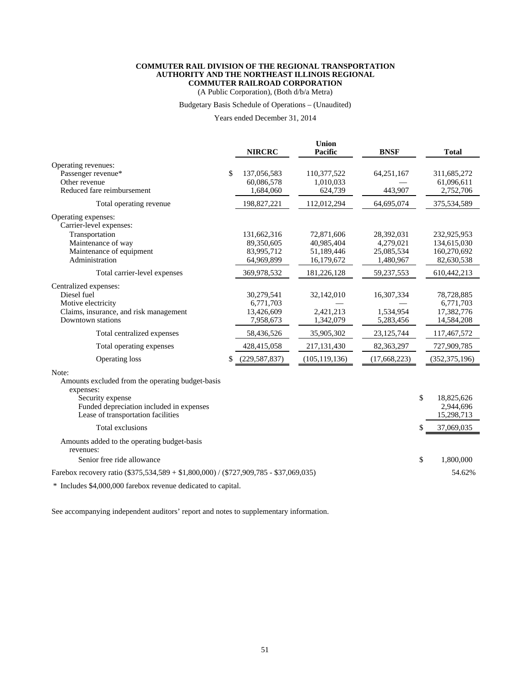(A Public Corporation), (Both d/b/a Metra)

#### Budgetary Basis Schedule of Operations – (Unaudited)

Years ended December 31, 2014

|                                                                                                                                                                              |    | <b>NIRCRC</b>                                      | <b>Union</b><br>Pacific              | <b>BNSF</b>                          |    | <b>Total</b>                                        |
|------------------------------------------------------------------------------------------------------------------------------------------------------------------------------|----|----------------------------------------------------|--------------------------------------|--------------------------------------|----|-----------------------------------------------------|
| Operating revenues:<br>Passenger revenue*<br>Other revenue<br>Reduced fare reimbursement                                                                                     | \$ | 137,056,583<br>60,086,578<br>1,684,060             | 110,377,522<br>1,010,033<br>624,739  | 64,251,167<br>443,907                |    | 311,685,272<br>61,096,611<br>2,752,706              |
| Total operating revenue                                                                                                                                                      |    | 198,827,221                                        | 112,012,294                          | 64,695,074                           |    | 375,534,589                                         |
| Operating expenses:<br>Carrier-level expenses:<br>Transportation<br>Maintenance of way                                                                                       |    | 131,662,316<br>89,350,605                          | 72,871,606<br>40,985,404             | 28,392,031<br>4,279,021              |    | 232,925,953<br>134,615,030                          |
| Maintenance of equipment                                                                                                                                                     |    | 83,995,712                                         | 51,189,446                           | 25,085,534                           |    | 160,270,692                                         |
| Administration                                                                                                                                                               |    | 64,969,899                                         | 16,179,672                           | 1,480,967                            |    | 82,630,538                                          |
| Total carrier-level expenses                                                                                                                                                 |    | 369,978,532                                        | 181,226,128                          | 59,237,553                           |    | 610,442,213                                         |
| Centralized expenses:<br>Diesel fuel<br>Motive electricity<br>Claims, insurance, and risk management<br>Downtown stations                                                    |    | 30,279,541<br>6,771,703<br>13,426,609<br>7,958,673 | 32,142,010<br>2,421,213<br>1,342,079 | 16,307,334<br>1,534,954<br>5,283,456 |    | 78,728,885<br>6,771,703<br>17,382,776<br>14,584,208 |
| Total centralized expenses                                                                                                                                                   |    | 58,436,526                                         | 35,905,302                           | 23, 125, 744                         |    | 117,467,572                                         |
| Total operating expenses                                                                                                                                                     |    | 428,415,058                                        | 217, 131, 430                        | 82,363,297                           |    | 727,909,785                                         |
| Operating loss                                                                                                                                                               | \$ | (229, 587, 837)                                    | (105, 119, 136)                      | (17,668,223)                         |    | (352, 375, 196)                                     |
| Note:<br>Amounts excluded from the operating budget-basis<br>expenses:<br>Security expense<br>Funded depreciation included in expenses<br>Lease of transportation facilities |    |                                                    |                                      |                                      | \$ | 18,825,626<br>2,944,696<br>15,298,713               |
| Total exclusions                                                                                                                                                             |    |                                                    |                                      |                                      | \$ | 37,069,035                                          |
| Amounts added to the operating budget-basis<br>revenues:                                                                                                                     |    |                                                    |                                      |                                      |    |                                                     |
| Senior free ride allowance                                                                                                                                                   |    |                                                    |                                      |                                      | \$ | 1,800,000                                           |
| Farebox recovery ratio (\$375,534,589 + \$1,800,000) / (\$727,909,785 - \$37,069,035)                                                                                        |    |                                                    |                                      |                                      |    | 54.62%                                              |
| * Includes \$4,000,000 farebox revenue dedicated to capital.                                                                                                                 |    |                                                    |                                      |                                      |    |                                                     |

See accompanying independent auditors' report and notes to supplementary information.